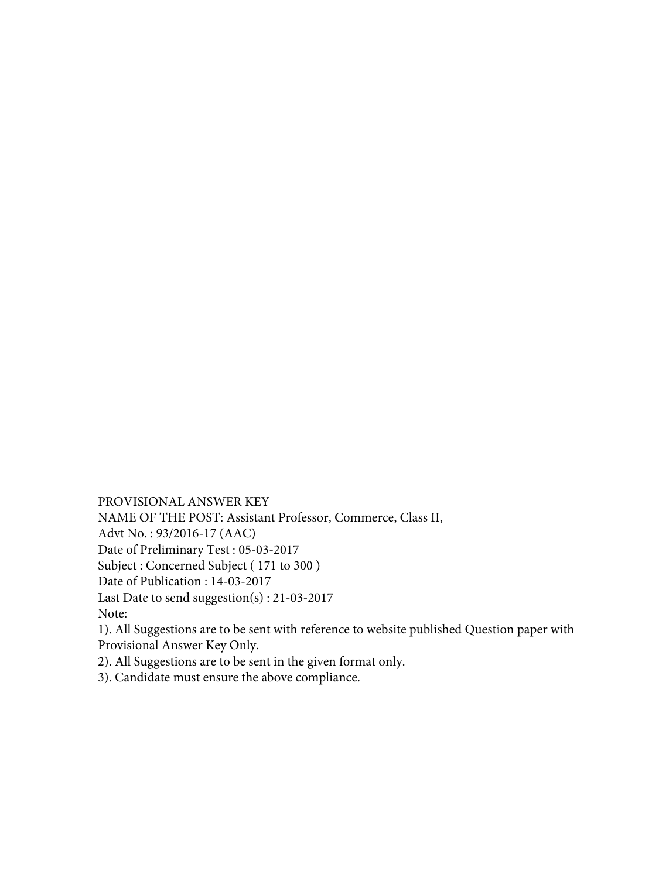PROVISIONAL ANSWER KEY NAME OF THE POST: Assistant Professor, Commerce, Class II, Advt No. : 93/2016-17 (AAC) Date of Preliminary Test : 05-03-2017 Subject : Concerned Subject ( 171 to 300 ) Date of Publication : 14-03-2017 Last Date to send suggestion(s) : 21-03-2017 Note: 1). All Suggestions are to be sent with reference to website published Question paper with Provisional Answer Key Only.

2). All Suggestions are to be sent in the given format only.

3). Candidate must ensure the above compliance.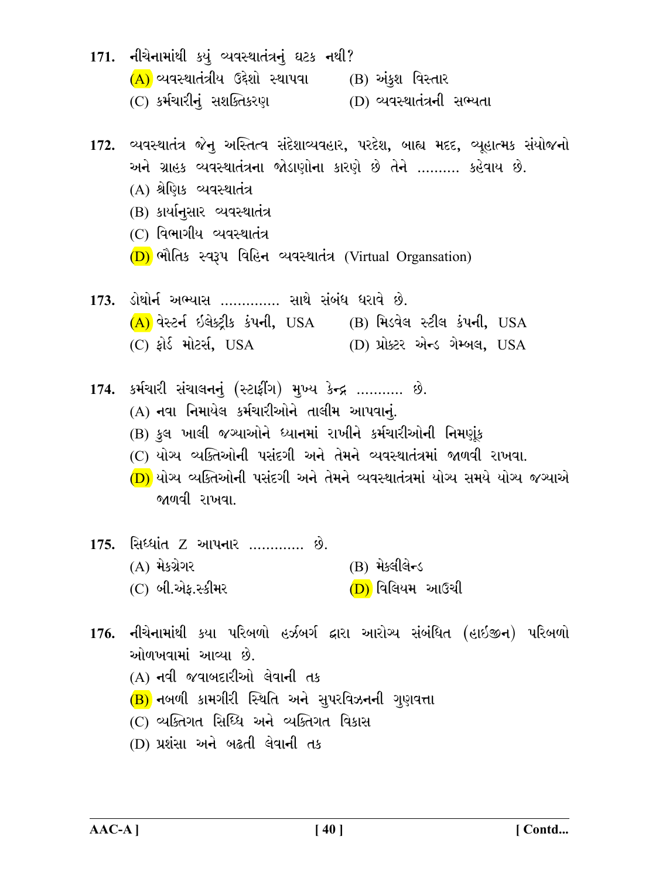- 171. નીચેનામાંથી કયું વ્યવસ્થાતંત્રનું ઘટક નથી?  $(A)$  વ્યવસ્થાતંત્રીય ઉદ્દેશો સ્થાપવા (B) અંકુશ વિસ્તાર (C) કર્મચારીનું સશક્તિકરણ (D) વ્યવસ્થાતંત્રની સભ્યતા
- 172. વ્યવસ્થાતંત્ર જેનુ અસ્તિત્વ સંદેશાવ્યવહાર, પરદેશ, બાહ્ય મદદ, વ્યૂહાત્મક સંયોજનો અને ગ્રાહક વ્યવસ્થાતંત્રના જોડાણોના કારણે છે તેને ……… કહેવાય છે.
	- (A) શ્રેણિક વ્યવસ્થાતંત્ર
	- (B) કાર્યાનસાર વ્યવસ્થાતંત્ર
	- $(C)$  વિભાગીય વ્યવસ્થાતંત્ર
	- (D) ભૌતિક સ્વરૂપ વિહિન વ્યવસ્થાતંત્ર (Virtual Organsation)
- 173. ડોથોર્ન અભ્યાસ .............. સાથે સંબંધ ધરાવે છે. (A) વેસ્ટર્ન ઇલેક્ટ્રીક કંપની, USA (B) મિડવેલ સ્ટીલ કંપની, USA (C) ફોર્ડ મોટર્સ, USA (D) પ્રોક્ટર એન્ડ ગેમ્બલ, USA
- 174. કર્મચારી સંચાલનનું (સ્ટાફીંગ) મુખ્ય કેન્દ્ર ........... છે. (A) નવા નિમાયેલ કર્મચારીઓને તાલીમ આપવાનું. (B) કુલ ખાલી જગ્યાઓને ધ્યાનમાં રાખીને કર્મચારીઓની નિમણંક (C) યોગ્ય વ્યક્તિઓની પસંદગી અને તેમને વ્યવસ્થાતંત્રમાં જાળવી રાખવા. <mark>(D)</mark> યોગ્ય વ્યક્તિઓની પસંદગી અને તેમને વ્યવસ્થાતંત્રમાં યોગ્ય સમયે યોગ્ય જગ્યાએ જાળવી રાખવા.
- <u>175. સિધ્ધાંત Z આપનાર …………. છે.</u>  $(B)$  મેક્લીલેન્ડ (A) મેકગ્રેગર (D) વિલિયમ આઉચી (C) બી.એક.સ્કીમર
- 176. નીચેનામાંથી કયા પરિબળો હર્ઝબર્ગ દ્વારા આરોગ્ય સંબંધિત (હાઇજીન) પરિબળો ઓળખવામાં આવ્યા છે (A) નવી જવાબદારીઓ લેવાની તક (B) નબળી કામગીરી સ્થિતિ અને સુપરવિઝનની ગુણવત્તા (C) વ્યક્તિગત સિધ્ધિ અને વ્યક્તિગત વિકાસ (D) પ્રશંસા અને બઢતી લેવાની તક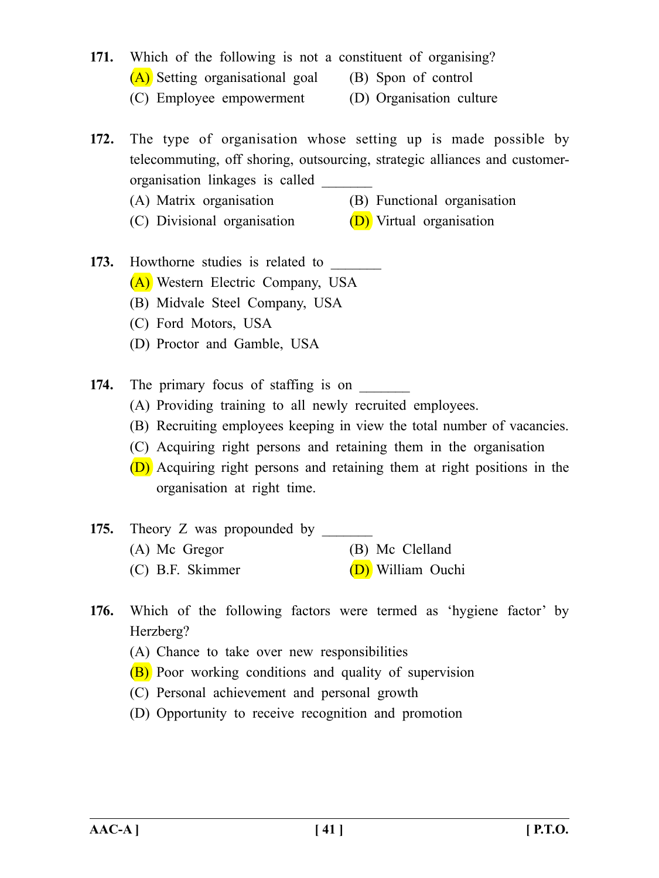- **171.** Which of the following is not a constituent of organising? (A) Setting organisational goal (B) Spon of control
	- (C) Employee empowerment (D) Organisation culture

**172.** The type of organisation whose setting up is made possible by telecommuting, off shoring, outsourcing, strategic alliances and customerorganisation linkages is called \_\_\_\_\_\_\_

- (A) Matrix organisation (B) Functional organisation
- (C) Divisional organisation  $(D)$  Virtual organisation

# **173.** Howthorne studies is related to (A) Western Electric Company, USA

- (B) Midvale Steel Company, USA
- (C) Ford Motors, USA
- (D) Proctor and Gamble, USA

**174.** The primary focus of staffing is on

- (A) Providing training to all newly recruited employees.
- (B) Recruiting employees keeping in view the total number of vacancies.
- (C) Acquiring right persons and retaining them in the organisation
- (D) Acquiring right persons and retaining them at right positions in the organisation at right time.

# **175.** Theory Z was propounded by (A) Mc Gregor (B) Mc Clelland (C) B.F. Skimmer (D) William Ouchi

- **176.** Which of the following factors were termed as 'hygiene factor' by Herzberg?
	- (A) Chance to take over new responsibilities
	- (B) Poor working conditions and quality of supervision
	- (C) Personal achievement and personal growth
	- (D) Opportunity to receive recognition and promotion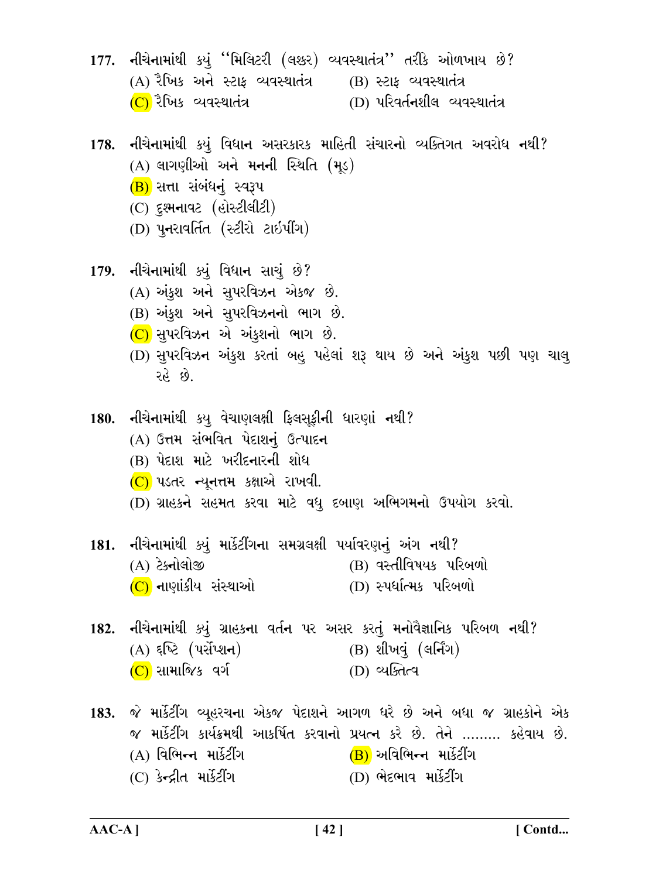- 177. નીચેનામાંથી કયું "મિલિટરી (લશ્કર) વ્યવસ્થાતંત્ર'' તરીકે ઓળખાય છે?  $(A)$  રૈખિક અને સ્ટાફ વ્યવસ્થાતંત્ર  $(B)$  સ્ટાફ વ્યવસ્થાતંત્ર (C) રૈખિક વ્યવસ્થાતંત્ર (D) परिवर्तनशीલ व्यवस्थातंत्र
- 178. નીચેનામાંથી કયું વિધાન અસરકારક માહિતી સંચારનો વ્યક્તિગત અવરોધ નથી?  $(A)$  લાગણીઓ અને મનની સ્થિતિ  $(H<sub>5</sub>)$ (B) સત્તા સંબંધનું સ્વરૂપ (C) દુશ્મનાવટ (હોસ્ટીલીટી)
	- (D) પુનરાવર્તિત (સ્ટીરો ટાઇપીંગ)
- 179. નીચેનામાંથી ક્યું વિધાન સાચું છે? (A) અંકુશ અને સુપરવિઝન એકજ છે. (B) અંકુશ અને સુપરવિઝનનો ભાગ છે.  $(C)$  સુપરવિઝન એ અંકુશનો ભાગ છે.
	- (D) સુપરવિઝન અંકુશ કરતાં બહુ પહેલાં શરૂ થાય છે અને અંકુશ પછી પણ ચાલુ રહે છે.
- 180. નીચેનામાંથી કયુ વેચાણલક્ષી ફિલસૂફીની ધારણાં નથી?
	- (A) ઉત્તમ સંભવિત પેદાશનં ઉત્પાદન
	- (B) પેદાશ માટે ખરીદનારની શોધ
	- $(C)$  પડતર ન્યુનત્તમ કક્ષાએ રાખવી.
	- (D) ગ્રાહકને સહમત કરવા માટે વધુ દબાણ અભિગમનો ઉપયોગ કરવો.
- 181. નીચેનામાંથી ક્યું માર્કેટીંગના સમગ્રલક્ષી પર્યાવરણનું અંગ નથી?  $(B)$  gadlguus ukowi (A) ટેક્નોલોજી (C) નાણાંકીય સંસ્થાઓ (D) સ્પર્ધાત્મક પરિબળો
- 182. નીચેનામાંથી ક્યું ગ્રાહકના વર્તન પર અસર કરતું મનોવૈજ્ઞાનિક પરિબળ નથી?  $(A)$  દૃષ્ટિ (પર્સેપ્શન) (B) શીખવું (લર્નિંગ) (C) સામાજિક વર્ગ (D) વ્યક્તિત્વ
- 183. જે માર્કેટીંગ વ્યૂહરચના એકજ પેદાશને આગળ ધરે છે અને બધા જ ગ્રાહકોને એક જ માર્કેટીંગ કાર્યક્રમથી આકર્ષિત કરવાનો પ્રયત્ન કરે છે. તેને ……… કહેવાય છે. (A) વિભિન્ન માર્કેટીંગ (B) અવિભિન્ન માર્કેટીંગ (C) કેન્દ્રીત માર્કેટીંગ (D) ભેદભાવ માર્કેટીંગ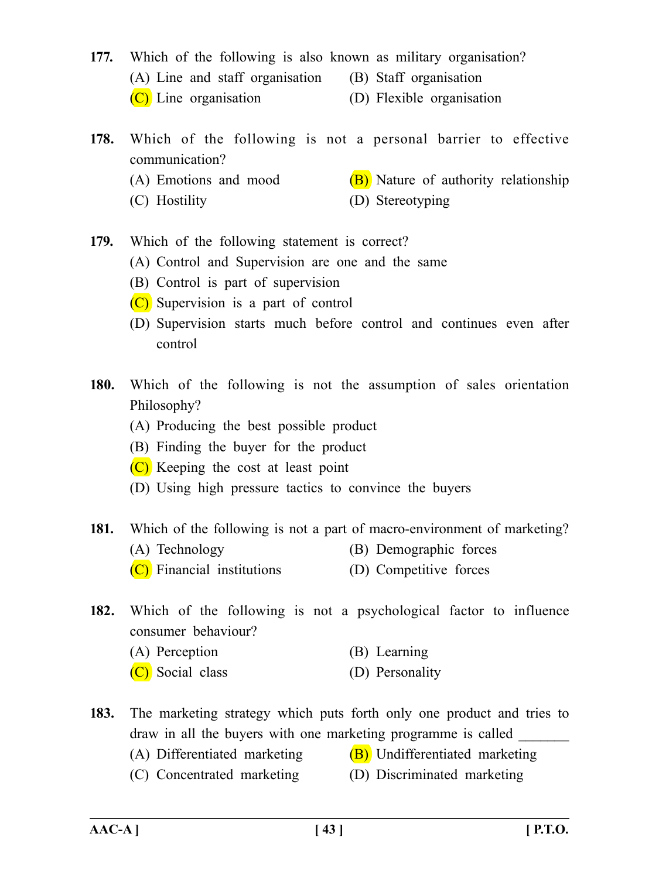- **177.** Which of the following is also known as military organisation? (A) Line and staff organisation (B) Staff organisation (C) Line organisation (D) Flexible organisation
- **178.** Which of the following is not a personal barrier to effective communication?
	-
	- (A) Emotions and mood  $(B)$  Nature of authority relationship
	-
	- (C) Hostility (D) Stereotyping
- **179.** Which of the following statement is correct?
	- (A) Control and Supervision are one and the same
	- (B) Control is part of supervision
	- (C) Supervision is a part of control
	- (D) Supervision starts much before control and continues even after control
- **180.** Which of the following is not the assumption of sales orientation Philosophy?
	- (A) Producing the best possible product
	- (B) Finding the buyer for the product
	- (C) Keeping the cost at least point
	- (D) Using high pressure tactics to convince the buyers
- **181.** Which of the following is not a part of macro-environment of marketing?
	- (A) Technology (B) Demographic forces
	- (C) Financial institutions (D) Competitive forces
- **182.** Which of the following is not a psychological factor to influence consumer behaviour?
	- (A) Perception (B) Learning
	- (C) Social class (D) Personality
- **183.** The marketing strategy which puts forth only one product and tries to draw in all the buyers with one marketing programme is called
	- (A) Differentiated marketing  $(B)$  Undifferentiated marketing
	- (C) Concentrated marketing (D) Discriminated marketing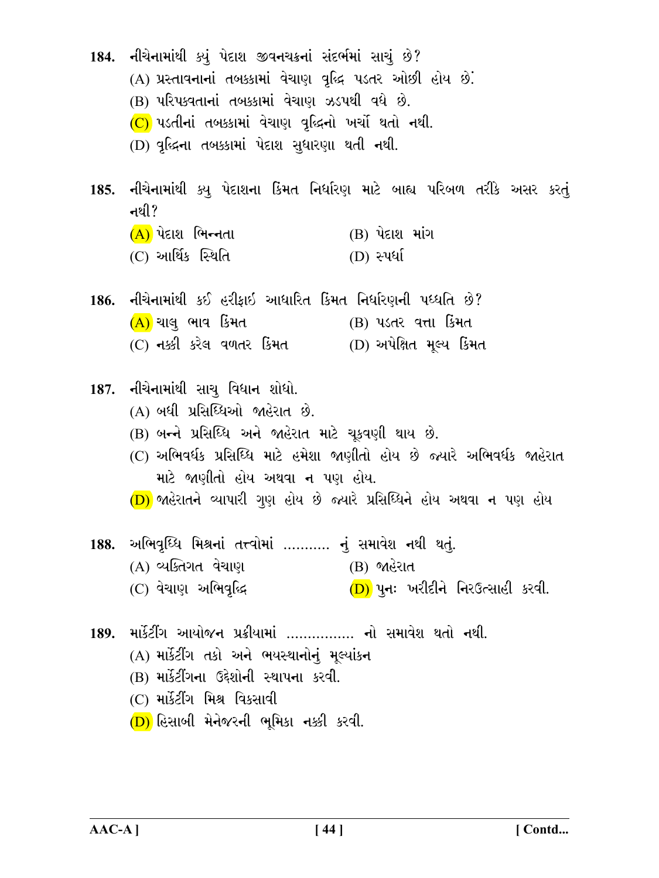- 184. નીચેનામાંથી ક્યું પેદાશ જીવનચક્રનાં સંદર્ભમાં સાચું છે?
	- (A) પ્રસ્તાવનાનાં તબક્કામાં વેચાણ વૃદ્ધિ પડતર ઓછી હોય છે.
	- (B) પરિપક્વતાનાં તબક્કામાં વેચાણ ઝડપથી વધે છે.
	- $(C)$  પડતીનાં તબક્કામાં વેચાણ વૃદ્ધિનો ખર્ચો થતો નથી.
	- (D) વૃદ્ધિના તબક્કામાં પેદાશ સુધારણા થતી નથી.
- 185. નીચેનામાંથી ક્યુ પેદાશના કિંમત નિર્ધારણ માટે બાહ્ય પરિબળ તરીકે અસર કરતું નથી?
	- $(B)$  પેદાશ માંગ  $(A)$  પેદાશ ભિન્નતા
	- $(C)$  આર્થિક સ્થિતિ  $(D)$  સ્પર્ધા
- 186. નીચેનામાંથી કઈ હરીકાઇ આધારિત કિંમત નિર્ધારણની પધ્ધતિ છે?  $(A)$  ચાલુ ભાવ કિંમત (B) પડતર વત્તા કિમત  $(C)$  નક્કી કરેલ વળતર કિંમત  $(D)$  અપેક્ષિત મુલ્ય કિંમત
- 187. નીચેનામાંથી સાચુ વિધાન શોધો.
	- (A) બધી પ્રસિધ્ધિઓ જાહેરાત છે.
	- (B) બન્ને પ્રસિધ્ધિ અને જાહેરાત માટે ચકવણી થાય છે.
	- (C) અભિવર્ધક પ્રસિધ્ધિ માટે હમેશા જાણીતો હોય છે જ્યારે અભિવર્ધક જાહેરાત માટે જાણીતો હોય અથવા ન પણ હોય.
	- (D) જાહેરાતને વ્યાપારી ગુણ હોય છે જ્યારે પ્રસિધ્ધિને હોય અથવા ન પણ હોય
- અભિવૃધ્ધિ મિશ્રનાં તત્ત્વોમાં ……….. નું સમાવેશ નથી થતું. 188. (A) વ્યક્તિગત વેચાણ (B) જાહેરાત (C) વેચાણ અભિવૃદ્ધિ  $(D)$  પુન: ખરીદીને નિરઉત્સાહી કરવી.
- 189. માર્કેટીંગ આયોજન પ્રક્રીયામાં ................ નો સમાવેશ થતો નથી.
	- (A) માર્કેટીંગ તકો અને ભયસ્થાનોનું મૂલ્યાંકન
	- (B) માર્કેટીંગના ઉદ્દેશોની સ્થાપના કરવી.
	- (C) માર્કેટીંગ મિશ્ર વિકસાવી
	- $(D)$  હિસાબી મેનેજરની ભૂમિકા નક્કી કરવી.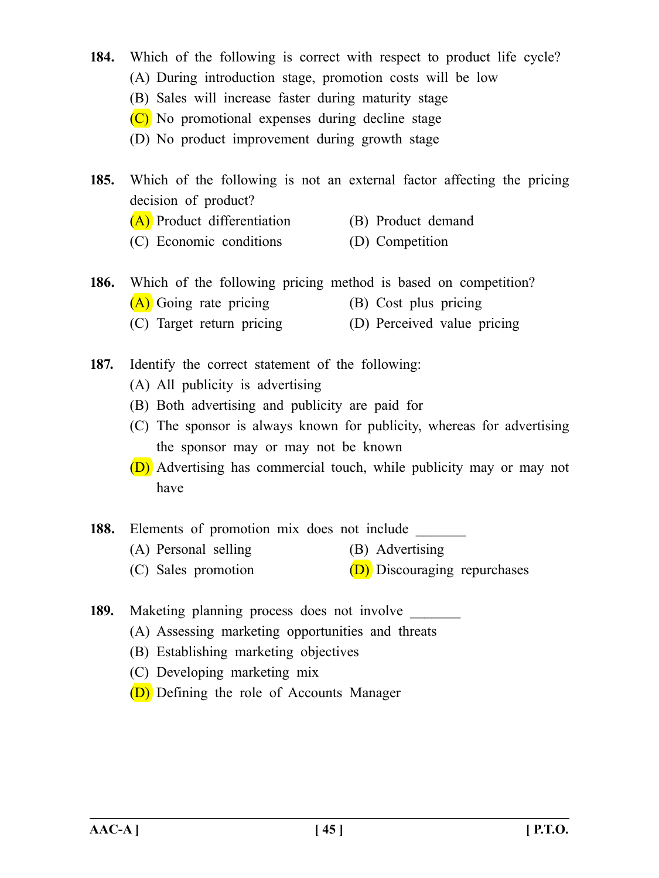- **184.** Which of the following is correct with respect to product life cycle?
	- (A) During introduction stage, promotion costs will be low
	- (B) Sales will increase faster during maturity stage
	- (C) No promotional expenses during decline stage
	- (D) No product improvement during growth stage
- **185.** Which of the following is not an external factor affecting the pricing decision of product?
	- (A) Product differentiation (B) Product demand
	- (C) Economic conditions (D) Competition
- **186.** Which of the following pricing method is based on competition?
	- (A) Going rate pricing (B) Cost plus pricing
	- (C) Target return pricing (D) Perceived value pricing
- **187.** Identify the correct statement of the following:
	- (A) All publicity is advertising
	- (B) Both advertising and publicity are paid for
	- (C) The sponsor is always known for publicity, whereas for advertising the sponsor may or may not be known
	- (D) Advertising has commercial touch, while publicity may or may not have
- 188. Elements of promotion mix does not include
	- (A) Personal selling (B) Advertising
	- (C) Sales promotion  $(D)$  Discouraging repurchases
- 189. Maketing planning process does not involve \_\_\_\_\_\_\_
	- (A) Assessing marketing opportunities and threats
	- (B) Establishing marketing objectives
	- (C) Developing marketing mix
	- (D) Defining the role of Accounts Manager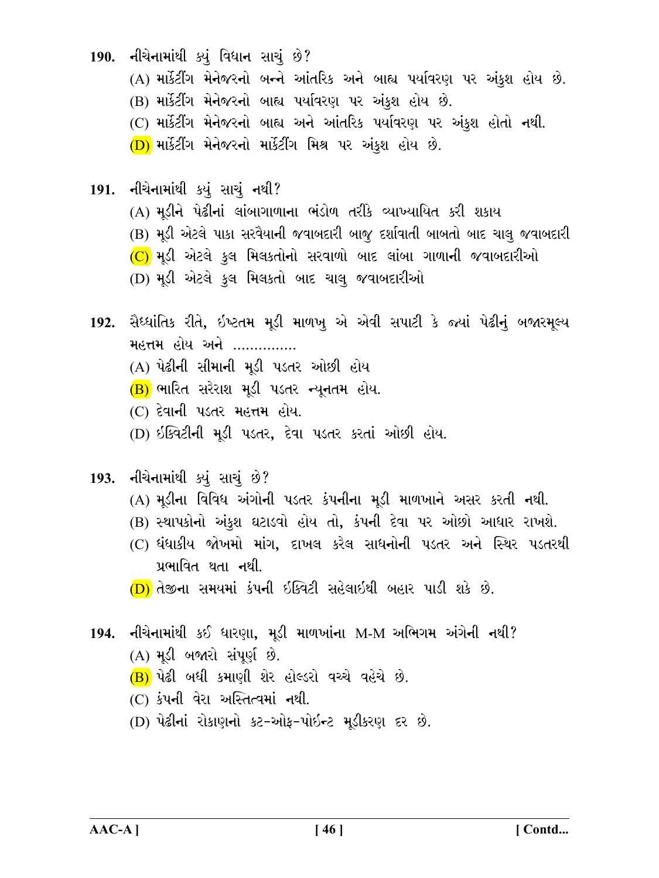190. નીચેનામાંથી ક્યું વિધાન સાચું છે?

- (A) માર્કેટીંગ મેનેજરનો બન્ને આંતરિક અને બાહ્ય પર્યાવરણ પર અંકુશ હોય છે.
- (B) માર્કેટીંગ મેનેજરનો બાહ્ય પર્યાવરણ પર અંકુશ હોય છે.
- (C) માર્કેટીંગ મેનેજરનો બાહ્ય અને આંતરિક પર્યાવરણ પર અંકુશ હોતો નથી.
- (D) માર્કેટીંગ મેનેજરનો માર્કેટીંગ મિશ્ર પર અંકુશ હોય છે.
- 191. નીચેનામાંથી કયું સાચું નથી?
	- (A) મડીને પેઢીનાં લાંબાગાળાના ભંડોળ તરીકે વ્યાખ્યાયિત કરી શકાય
	- (B) મૂડી એટલે પાકા સરવૈયાની જવાબદારી બાજૂ દર્શાવાતી બાબતો બાદ ચાલુ જવાબદારી
	- $(C)$  મડી એટલે કુલ મિલકતોનો સરવાળો બાદ લાંબા ગાળાની જવાબદારીઓ
	- (D) મૂડી એટલે કુલ મિલકતો બાદ ચાલુ જવાબદારીઓ
- 192. સૈધ્ધાંતિક રીતે, ઇષ્ટતમ મૂડી માળખુ એ એવી સપાટી કે જ્યાં પેઢીનું બજારમૂલ્ય મહત્તમ હોય અને ...............
	- (A) પેઢીની સીમાની મડી પડતર ઓછી હોય
	- (B) ભારિત સરેરાશ મૂડી પડતર ન્યૂનતમ હોય.
	- (C) દેવાની પડતર મહત્તમ હોય.
	- (D) ઇક્વિટીની મડી પડતર, દેવા પડતર કરતાં ઓછી હોય.
- 193. નીચેનામાંથી ક્યું સાચું છે?
	- (A) મડીના વિવિધ અંગોની પડતર કંપનીના મડી માળખાને અસર કરતી નથી.
	- (B) સ્થાપકોનો અંકુશ ઘટાડવો હોય તો, કંપની દેવા પર ઓછો આધાર રાખશે.
	- (C) ધંધાકીય જોખમો માંગ, દાખલ કરેલ સાધનોની પડતર અને સ્થિર પડતરથી પ્રભાવિત થતા નથી.
	- $(D)$  તેજીના સમયમાં કંપની ઇક્વિટી સહેલાઇથી બહાર પાડી શકે છે.
- 194. નીચેનામાંથી કઈ ધારણા, મૂડી માળખાંના M-M અભિગમ અંગેની નથી? (A) મડી બજારો સંપૂર્ણ છે.
	- (B) પેઢી બધી કમાણી શેર હોલ્ડરો વચ્ચે વહેચે છે.
	- $(C)$  કંપની વેરા અસ્તિત્વમાં નથી.
	- (D) પેઢીનાં રોકાણનો કટ-ઓફ-પોઇન્ટ મૂડીકરણ દર છે.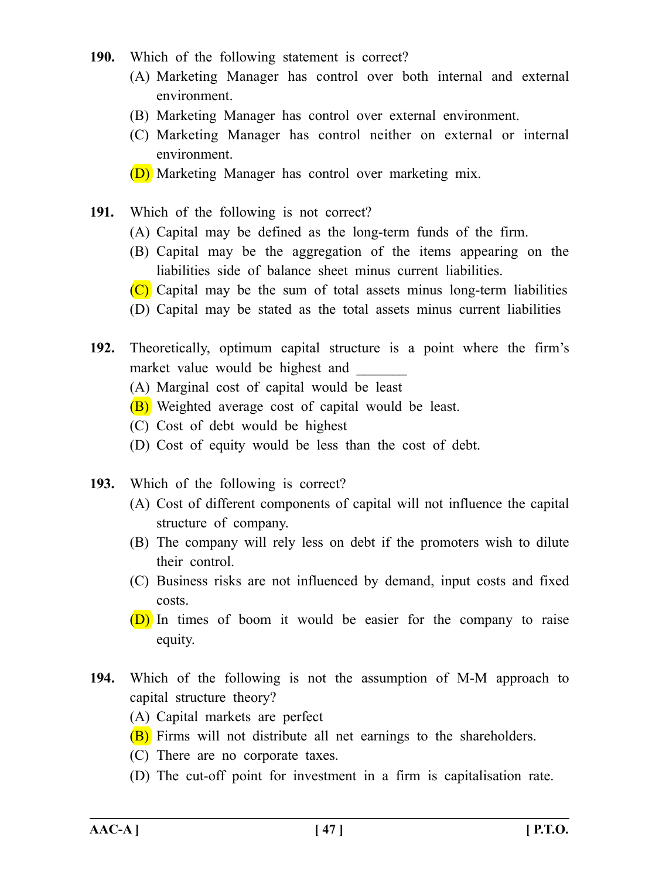- **190.** Which of the following statement is correct?
	- (A) Marketing Manager has control over both internal and external environment.
	- (B) Marketing Manager has control over external environment.
	- (C) Marketing Manager has control neither on external or internal environment.
	- (D) Marketing Manager has control over marketing mix.
- **191.** Which of the following is not correct?
	- (A) Capital may be defined as the long-term funds of the firm.
	- (B) Capital may be the aggregation of the items appearing on the liabilities side of balance sheet minus current liabilities.
	- $(C)$  Capital may be the sum of total assets minus long-term liabilities
	- (D) Capital may be stated as the total assets minus current liabilities
- **192.** Theoretically, optimum capital structure is a point where the firm's market value would be highest and
	- (A) Marginal cost of capital would be least
	- (B) Weighted average cost of capital would be least.
	- (C) Cost of debt would be highest
	- (D) Cost of equity would be less than the cost of debt.
- **193.** Which of the following is correct?
	- (A) Cost of different components of capital will not influence the capital structure of company.
	- (B) The company will rely less on debt if the promoters wish to dilute their control.
	- (C) Business risks are not influenced by demand, input costs and fixed costs.
	- (D) In times of boom it would be easier for the company to raise equity.
- **194.** Which of the following is not the assumption of M-M approach to capital structure theory?
	- (A) Capital markets are perfect
	- (B) Firms will not distribute all net earnings to the shareholders.
	- (C) There are no corporate taxes.
	- (D) The cut-off point for investment in a firm is capitalisation rate.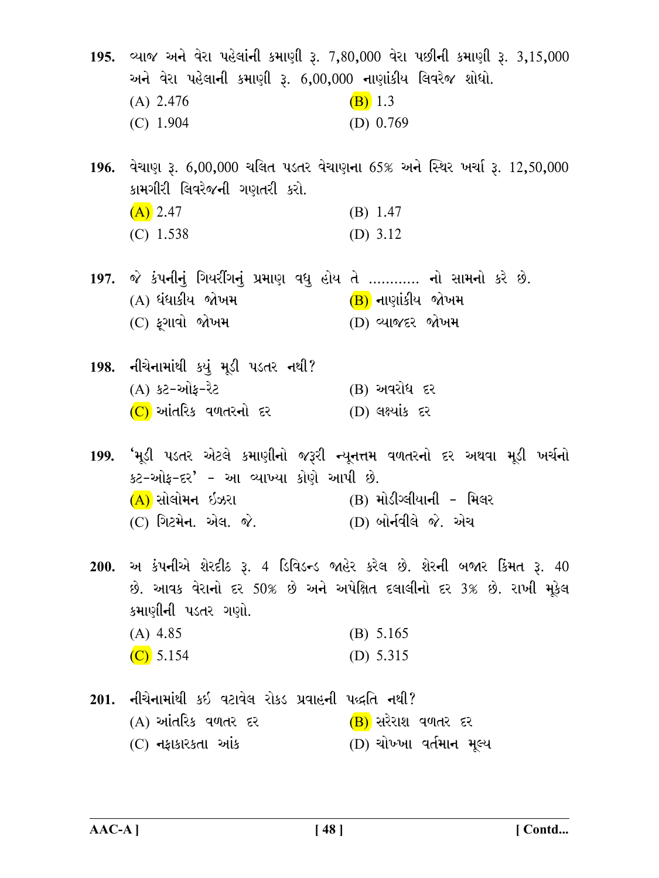195. વ્યાજ અને વેરા પહેલાંની કમાણી રૂ. 7,80,000 વેરા પછીની કમાણી રૂ. 3,15,000 અને વેરા પહેલાની કમાણી રૂ. 6,00,000 નાણાંકીય લિવરેજ શોધો.  $(B)$  1.3  $(A)$  2.476  $(C)$  1.904 (D)  $0.769$ 

196. વેચાણ રૂ. 6,00,000 ચલિત પડતર વેચાણના 65% અને સ્થિર ખર્ચા રૂ. 12,50,000 કામગીરી લિવરેજની ગણતરી કરો.  $\sqrt{\Lambda}$   $247$  $(D)$  1  $\Lambda$ 7

| $(A)$ 2.41  | (D) 1.47   |
|-------------|------------|
| $(C)$ 1.538 | (D) $3.12$ |

- 197. જે કંપનીનું ગિયરીંગનું પ્રમાણ વધુ હોય તે ………… નો સામનો કરે છે. (A) ધંધાકીય જોખમ (B) નાણાંકીય જોખમ (C) ફગાવો જોખમ (D) વ્યાજદર જોખમ
- 198. નીચેનામાંથી કયું મૂડી પડતર નથી? (A) કટ-ઓફ-રેટ  $(B)$  અવરોધ દર (C) આંતરિક વળતરનો દર (D) લક્ષ્યાંક દર

199. 'મૂડી પડતર એટલે કમાણીનો જરૂરી ન્યૂનત્તમ વળતરનો દર અથવા મૂડી ખર્ચનો કટ-ઓફ-દર' - આ વ્યાખ્યા કોણે આપી છે. (A) સોલોમન ઇઝરા \_\_(B) મોડીગ્લીયાની - મિલર (C) ગિટમેન. એલ. જે. (D) બોર્નવીલે જે. એચ

200. અ કંપનીએ શેરદીઠ રૂ. 4 ડિવિડન્ડ જાહેર કરેલ છે. શેરની બજાર કિંમત રૂ. 40 છે. આવક વેરાનો દર 50% છે અને અપેક્ષિત દલાલીનો દર 3% છે. રાખી મૂકેલ કમાણીની પડતર ગણો.  $(A)$  4.85  $(B) 5.165$ 

- $(C)$  5.154 (D)  $5.315$
- 201. નીચેનામાંથી કઇ વટાવેલ રોકડ પ્રવાહની પદ્ધતિ નથી? (A) આંતરિક વળતર દર (B) સરેરાશ વળતર દર (D) ચોખ્ખા વર્તમાન મુલ્ય (C) નફાકારકતા આંક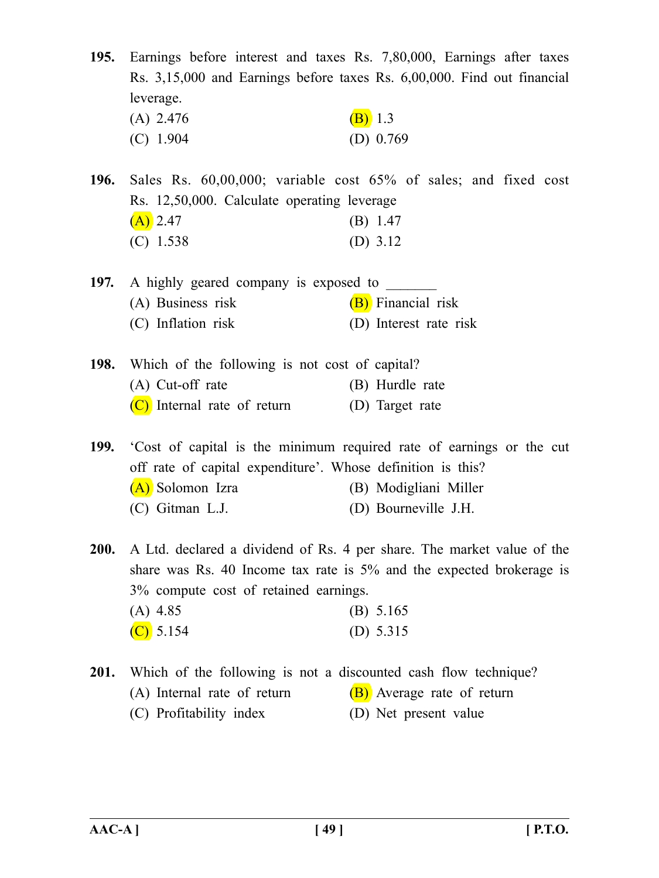**195.** Earnings before interest and taxes Rs. 7,80,000, Earnings after taxes Rs. 3,15,000 and Earnings before taxes Rs. 6,00,000. Find out financial leverage. (A) 2.476 (B) 1.3 (C) 1.904 (D) 0.769

**196.** Sales Rs. 60,00,000; variable cost 65% of sales; and fixed cost Rs. 12,50,000. Calculate operating leverage  $(A)$  2.47 (B) 1.47 (C) 1.538 (D) 3.12

**197.** A highly geared company is exposed to (A) Business risk  $(B)$  Financial risk (C) Inflation risk (D) Interest rate risk

**198.** Which of the following is not cost of capital? (A) Cut-off rate (B) Hurdle rate (C) Internal rate of return (D) Target rate

**199.** 'Cost of capital is the minimum required rate of earnings or the cut off rate of capital expenditure'. Whose definition is this? (A) Solomon Izra (B) Modigliani Miller (C) Gitman L.J. (D) Bourneville J.H.

**200.** A Ltd. declared a dividend of Rs. 4 per share. The market value of the share was Rs. 40 Income tax rate is 5% and the expected brokerage is 3% compute cost of retained earnings.  $(A)$  4.85 (B) 5.165

| $(A)$ 4.85  | $(B)$ 0.100 |
|-------------|-------------|
| $(C)$ 5.154 | (D) $5.315$ |

**201.** Which of the following is not a discounted cash flow technique? (A) Internal rate of return  $(B)$  Average rate of return

(C) Profitability index (D) Net present value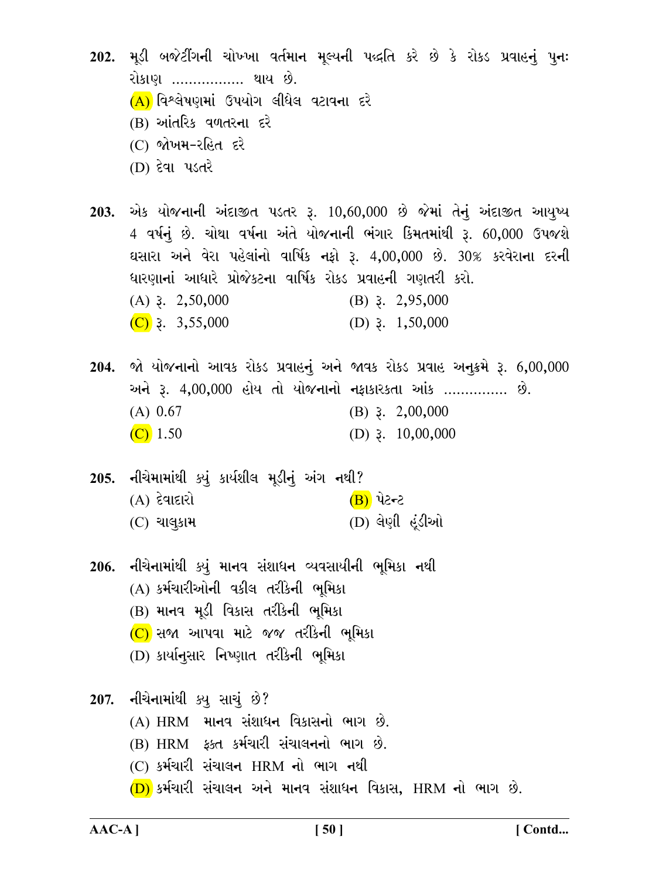- 202. મૂડી બજેટીંગની ચોખ્ખા વર્તમાન મૂલ્યની પદ્ધતિ કરે છે કે રોકડ પ્રવાહનું પુનઃ રોકાણ ……………. થાય છે.  $(A)$  વિશ્લેષણમાં ઉપયોગ લીધેલ વટાવના દરે (B) આંતરિક વળતરના દરે (C) જોખમ-રહિત દરે (D) દેવા પડતરે
- 203. એક યોજનાની અંદાજીત પડતર રૂ. 10,60,000 છે જેમાં તેનું અંદાજીત આયુષ્ય 4 વર્ષનું છે. ચોથા વર્ષના અંતે યોજનાની ભંગાર કિંમતમાંથી રૂ. 60,000 ઉપજશે ઘસારા અને વેરા પહેલાંનો વાર્ષિક નફો રૂ. 4,00,000 છે. 30% કરવેરાના દરની ધારણાનાં આધારે પ્રોજેકટના વાર્ષિક રોકડ પ્રવાહની ગણતરી કરો.  $(A)$  3. 2,50,000  $(B)$  3. 2,95,000  $(C)$  3. 3,55,000 (D)  $3. \quad 1,50,000$
- 204. જો યોજનાનો આવક રોકડ પ્રવાહનું અને જાવક રોકડ પ્રવાહ અનુક્રમે રૂ. 6,00,000 અને રૂ. 4,00,000 હોય તો યોજનાનો નફાકારકતા આંક ............... છે.  $(A) 0.67$  $(B)$  3. 2,00,000  $(C)$  1.50 (D)  $3.10,00,000$
- 205. નીચેમામાંથી ક્યું કાર્યશીલ મૂડીનું અંગ નથી?  $(A)$  દેવાદારો <u>(B)</u> પેટન્ટ  $(C)$  ચાલુકામ (D) લેણી હંડીઓ
- 206. નીચેનામાંથી ક્યું માનવ સંશાધન વ્યવસાયીની ભૂમિકા નથી (A) કર્મચારીઓની વકીલ તરીકેની ભૂમિકા (B) માનવ મડી વિકાસ તરીકેની ભુમિકા  $(C)$  સજા આપવા માટે જજ તરીકેની ભૂમિકા (D) કાર્યાનસાર નિષ્ણાત તરીકેની ભૂમિકા
- 207. નીચેનામાંથી ક્યુ સાચું છે?
	- (A) HRM માનવ સંશાધન વિકાસનો ભાગ છે.
	- (B) HRM ફક્ત કર્મચારી સંચાલનનો ભાગ છે.
	- (C) કર્મચારી સંચાલન HRM નો ભાગ નથી
	- $(D)$  કર્મચારી સંચાલન અને માનવ સંશાધન વિકાસ, HRM નો ભાગ છે.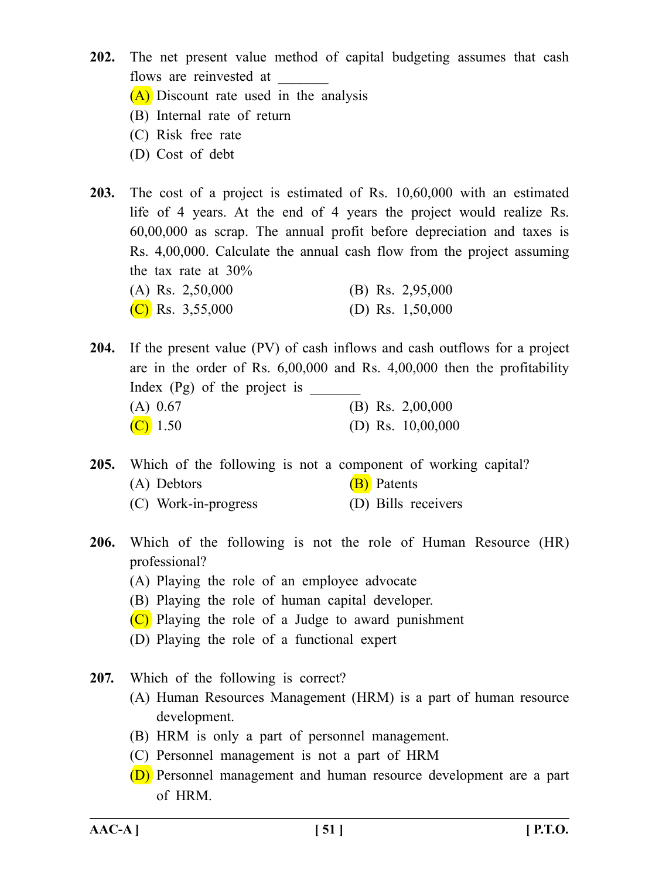**202.** The net present value method of capital budgeting assumes that cash flows are reinvested at

(A) Discount rate used in the analysis

- (B) Internal rate of return
- (C) Risk free rate
- (D) Cost of debt
- **203.** The cost of a project is estimated of Rs. 10,60,000 with an estimated life of 4 years. At the end of 4 years the project would realize Rs. 60,00,000 as scrap. The annual profit before depreciation and taxes is Rs. 4,00,000. Calculate the annual cash flow from the project assuming the tax rate at 30%

|  | (A) Rs. $2,50,000$ |  | (B) Rs. $2,95,000$ |
|--|--------------------|--|--------------------|
|  | (C) Rs. $3,55,000$ |  | (D) Rs. $1,50,000$ |

**204.** If the present value (PV) of cash inflows and cash outflows for a project are in the order of Rs. 6,00,000 and Rs. 4,00,000 then the profitability Index  $(Pg)$  of the project is (A) 0.67 (B) Rs. 2,00,000 (C)  $1.50$  (D) Rs.  $10,00,000$ 

**205.** Which of the following is not a component of working capital? (A) Debtors (B) Patents

- (C) Work-in-progress (D) Bills receivers
- **206.** Which of the following is not the role of Human Resource (HR) professional?
	- (A) Playing the role of an employee advocate
	- (B) Playing the role of human capital developer.
	- $(C)$  Playing the role of a Judge to award punishment
	- (D) Playing the role of a functional expert
- **207.** Which of the following is correct?
	- (A) Human Resources Management (HRM) is a part of human resource development.
	- (B) HRM is only a part of personnel management.
	- (C) Personnel management is not a part of HRM
	- (D) Personnel management and human resource development are a part of HRM.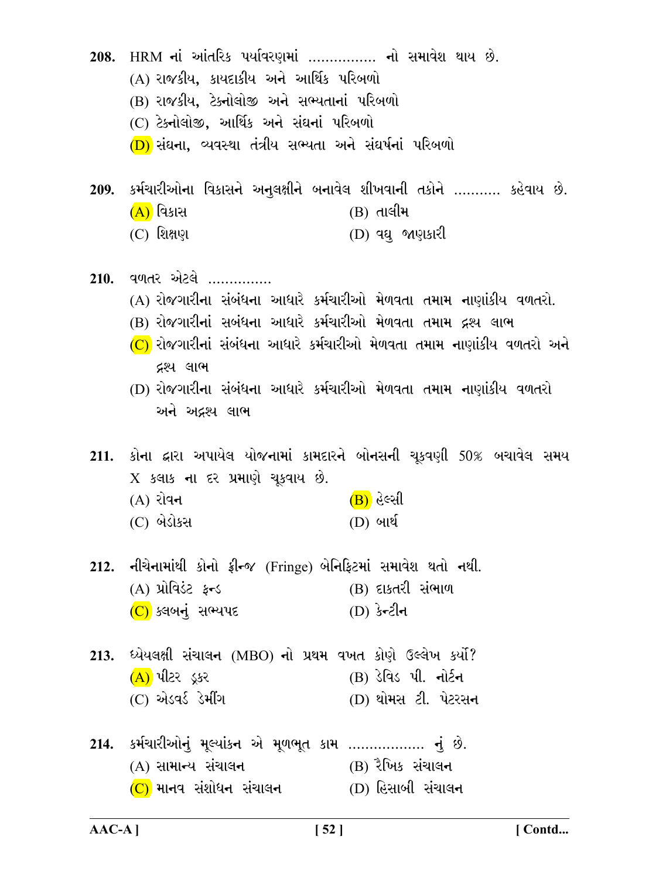208. HRM નાં આંતરિક પર્યાવરણમાં ................ નો સમાવેશ થાય છે. (A) રાજકીય, કાયદાકીય અને આર્થિક પરિબળો (B) રાજકીય, ટેકનોલોજી અને સભ્યતાનાં પરિબળો (C) ટેક્નોલોજી, આર્થિક અને સંઘનાં પરિબળો (D) સંઘના, વ્યવસ્થા તંત્રીય સભ્યતા અને સંઘર્ષનાં પરિબળો 209. કર્મચારીઓના વિકાસને અનુલક્ષીને બનાવેલ શીખવાની તકોને ……….. કહેવાય છે.  $(B)$  તાલીમ <u>(A)</u> વિકાસ  $(C)$  શિક્ષણ (D) વધુ જાણકારી  $210.$  વળતર એટલે ............... (A) રોજગારીના સંબંધના આધારે કર્મચારીઓ મેળવતા તમામ નાણાંકીય વળતરો. (B) રોજગારીનાં સબંધના આધારે કર્મચારીઓ મેળવતા તમામ દ્રશ્ય લાભ  $(C)$  રોજગારીનાં સંબંધના આધારે કર્મચારીઓ મેળવતા તમામ નાણાંકીય વળતરો અને દ્રશ્ય લાભ (D) રોજગારીના સંબંધના આધારે કર્મચારીઓ મેળવતા તમામ નાણાંકીય વળતરો અને અદ્રશ્ય લાભ 211. કોના દ્વારા અપાયેલ યોજનામાં કામદારને બોનસની ચૂકવણી 50% બચાવેલ સમય  $X$  કલાક ના દર પ્રમાણે ચુકવાય છે.  $(B)$  હેલ્સી  $(A)$  રોવન (C) બેડોકસ (D) બાર્થ 212. નીચેનામાંથી કોનો ફ્રીન્જ (Fringe) બેનિફિટમાં સમાવેશ થતો નથી. (A) પ્રોવિડંટ ફ્રન્ડ (B) દાકતરી સંભાળ (C) ક્લબનું સભ્યપદ (D) કેન્ટીન 213. ધ્યેયલક્ષી સંચાલન (MBO) નો પ્રથમ વખત કોણે ઉલ્લેખ કર્યો?  $(A)$  પીટર ડુકર (B) ડેવિડ પી. નોર્ટન (C) એડવર્ડ ડેમીંગ (D) થોમસ ટી. પેટરસન 214. કર્મચારીઓનું મૂલ્યાંકન એ મૂળભૂત કામ .................. નું છે. (B) રૈખિક સંચાલન (A) સામાન્ય સંચાલન  $(C)$  માનવ સંશોધન સંચાલન  $(D)$  હિસાબી સંચાલન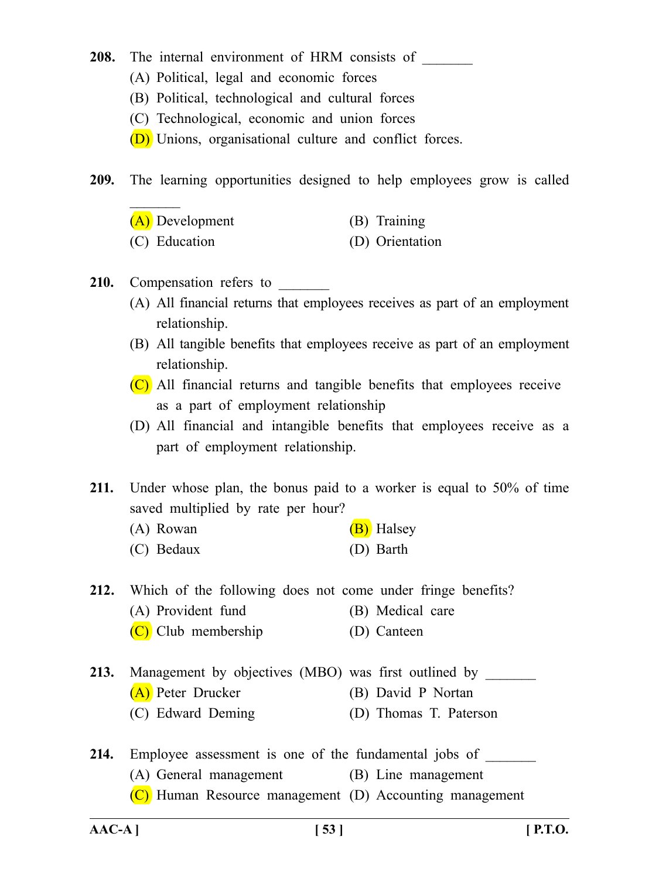### 208. The internal environment of HRM consists of

- (A) Political, legal and economic forces
- (B) Political, technological and cultural forces
- (C) Technological, economic and union forces
- (D) Unions, organisational culture and conflict forces.

**209.** The learning opportunities designed to help employees grow is called

| (A) Development    | (B) Training      |
|--------------------|-------------------|
| $(\cap)$ Education | $(D)$ Origination |

(C) Education (D) Orientation

## 210. Compensation refers to

 $\frac{1}{2}$ 

- (A) All financial returns that employees receives as part of an employment relationship.
- (B) All tangible benefits that employees receive as part of an employment relationship.
- (C) All financial returns and tangible benefits that employees receive as a part of employment relationship
- (D) All financial and intangible benefits that employees receive as a part of employment relationship.

**211.** Under whose plan, the bonus paid to a worker is equal to 50% of time saved multiplied by rate per hour?

- (A) Rowan  $(B)$  Halsey
- (C) Bedaux (D) Barth

**212.** Which of the following does not come under fringe benefits?

- (A) Provident fund (B) Medical care
- (C) Club membership (D) Canteen
- 213. Management by objectives (MBO) was first outlined by (A) Peter Drucker (B) David P Nortan (C) Edward Deming (D) Thomas T. Paterson
- 214. Employee assessment is one of the fundamental jobs of (A) General management (B) Line management (C) Human Resource management (D) Accounting management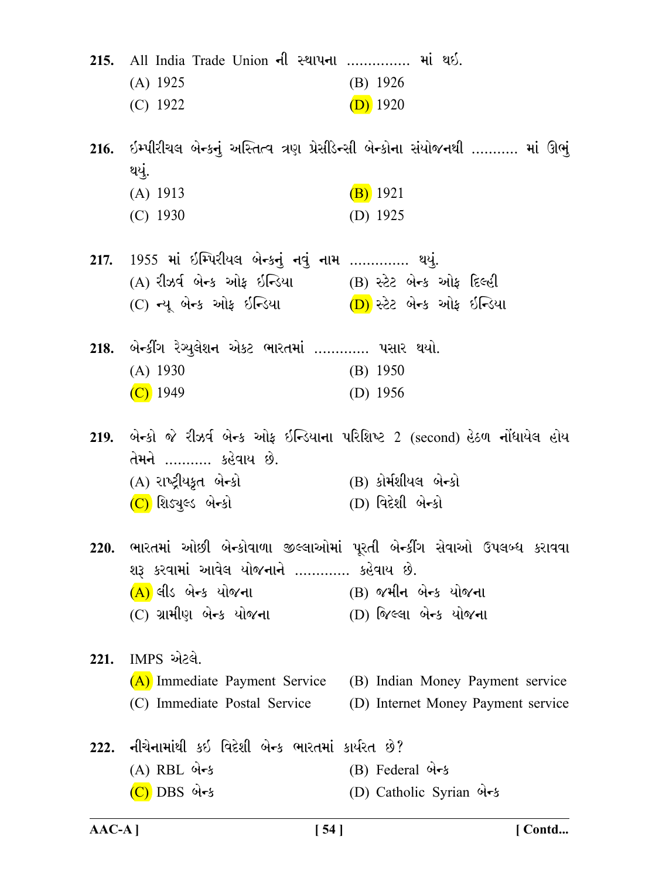|      | 215. All India Trade Union ની સ્થાપના  માં થઈ.<br>$(A)$ 1925<br>$(C)$ 1922                                                                                              | (B) 1926<br>$(D)$ 1920                                                                                                      |
|------|-------------------------------------------------------------------------------------------------------------------------------------------------------------------------|-----------------------------------------------------------------------------------------------------------------------------|
|      | થયું.                                                                                                                                                                   | 216.  ઇમ્પીરીચલ બેન્કનું અસ્તિત્વ ત્રણ પ્રેસીડેન્સી બેન્કોના સંયોજનથી ……… માં ઊભું                                          |
|      | $(A)$ 1913<br>$(C)$ 1930                                                                                                                                                | $(B)$ 1921<br>(D) $1925$                                                                                                    |
|      | 217.  1955 માં ઇમ્પિરીયલ બેન્કનું નવું નામ …………. થયું.<br>(A) રીઝર્વ બેન્ક ઓફ ઇન્ડિયા (B) સ્ટેટ બેન્ક ઓફ દિલ્હી<br>(C) ન્યૂ બેન્ક ઓફ ઇન્ડિયા (D) સ્ટેટ બેન્ક ઓફ ઇન્ડિયા |                                                                                                                             |
|      | 218. બેન્કીંગ રેગ્યુલેશન એકટ ભારતમાં …………. પસાર થયો.<br>$(A)$ 1930<br>$(C)$ 1949                                                                                        | $(B)$ 1950<br>(D) $1956$                                                                                                    |
|      | તેમને ………… કહેવાય છે.<br>(A) રાષ્ટ્રીયકૃત બે <del>ન્</del> કો<br>(C) શિડ્યુલ્ડ બેન્કો                                                                                   | 219. બેન્કો જે રીઝર્વ બેન્ક ઓફ ઇન્ડિયાના પરિશિષ્ટ 2 (second) હેઠળ નોંધાયેલ હોય<br>(B) કોર્મશીયલ બેન્કો<br>(D) વિદેશી બેન્કો |
| 220. | શરૂ કરવામાં આવેલ યોજનાને …………. કહેવાય છે.<br>(A) લીડ બેન્ક યોજના<br>(C) ગ્રામીણ બેન્ક યોજના                                                                             | ભારતમાં ઓછી બેન્કોવાળા જીલ્લાઓમાં પૂરતી બેન્કીંગ સેવાઓ ઉપલબ્ધ કરાવવા<br>(B) જમીન બેન્ક યોજના<br>(D) જિલ્લા બેન્ક યોજના      |
| 221. | IMPS એટલે.<br>(A) Immediate Payment Service<br>(C) Immediate Postal Service                                                                                             | (B) Indian Money Payment service<br>(D) Internet Money Payment service                                                      |
|      | 222. નીચેનામાંથી કઇ વિદેશી બેન્ક ભારતમાં કાર્યરત છે?<br>$(A)$ RBL બેન્ક<br>$(C)$ DBS બેન્ક                                                                              | (B) Federal બેન્ક<br>(D) Catholic Syrian બેન્ક                                                                              |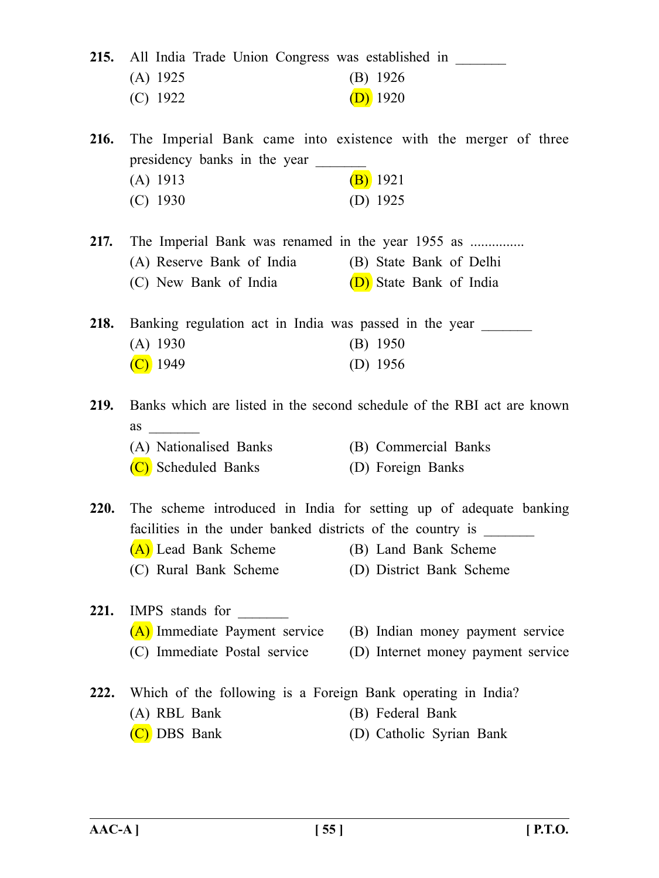|             | 215. All India Trade Union Congress was established in<br>$(A)$ 1925<br>$(C)$ 1922                                                                      | $(B)$ 1926<br>$(D)$ 1920                                                                                              |
|-------------|---------------------------------------------------------------------------------------------------------------------------------------------------------|-----------------------------------------------------------------------------------------------------------------------|
| <b>216.</b> | presidency banks in the year<br>$(A)$ 1913                                                                                                              | The Imperial Bank came into existence with the merger of three<br>$(B)$ 1921                                          |
|             | $(C)$ 1930                                                                                                                                              | (D) $1925$                                                                                                            |
| 217.        | The Imperial Bank was renamed in the year 1955 as<br>(A) Reserve Bank of India (B) State Bank of Delhi<br>(C) New Bank of India (D) State Bank of India |                                                                                                                       |
| 218.        | Banking regulation act in India was passed in the year<br>$(A)$ 1930<br>$(C)$ 1949                                                                      | $(B)$ 1950<br>$(D)$ 1956                                                                                              |
| <b>219.</b> | as                                                                                                                                                      | Banks which are listed in the second schedule of the RBI act are known                                                |
|             | (A) Nationalised Banks<br>(C) Scheduled Banks                                                                                                           | (B) Commercial Banks<br>(D) Foreign Banks                                                                             |
| <b>220.</b> | facilities in the under banked districts of the country is<br>(A) Lead Bank Scheme<br>(C) Rural Bank Scheme                                             | The scheme introduced in India for setting up of adequate banking<br>(B) Land Bank Scheme<br>(D) District Bank Scheme |
| 221.        | IMPS stands for<br>(A) Immediate Payment service<br>(C) Immediate Postal service                                                                        | (B) Indian money payment service<br>(D) Internet money payment service                                                |
| 222.        | Which of the following is a Foreign Bank operating in India?<br>(A) RBL Bank<br>(C) DBS Bank                                                            | (B) Federal Bank<br>(D) Catholic Syrian Bank                                                                          |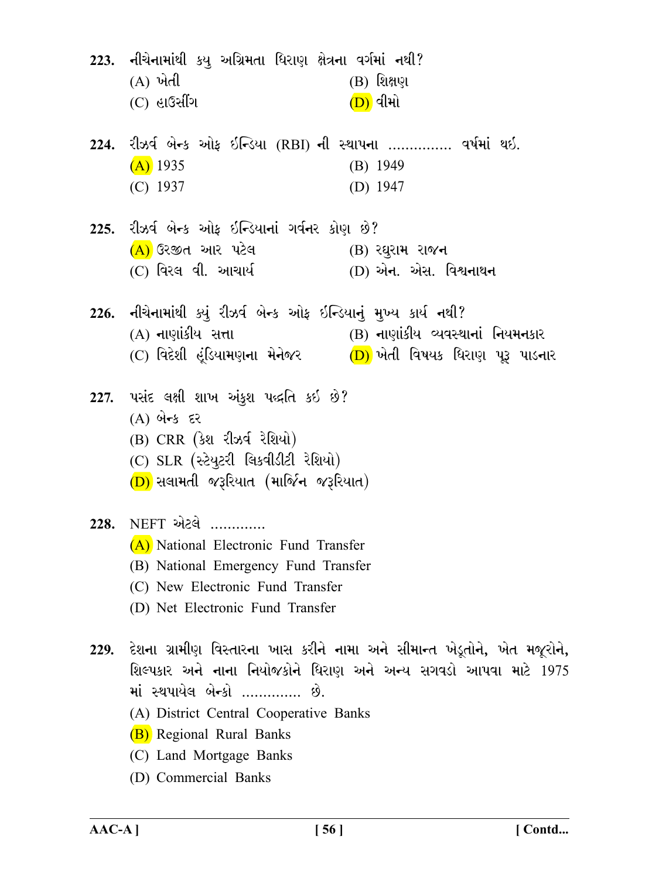223. નીચેનામાંથી કયુ અગ્રિમતા ધિરાણ ક્ષેત્રના વર્ગમાં નથી?  $(A)$  ખેતી  $(B)$  શિક્ષણ  $(C)$  હાઉસીંગ  $(D)$  વીમો रीઝર્વ બેન્ક ઓફ ઇન્ડિયા (RBI) ની સ્થાપના ............... વર્ષમાં થઇ. 224.  $(A)$  1935  $(B)$  1949  $(C)$  1937 (D)  $1947$ રીઝર્વ બેન્ક ઓક ઇન્ડિયાનાં ગર્વનર કોણ છે?  $225.$ (A) ઉરજીત આર પટેલ  $(B)$  રઘુરામ રાજન (D) એન. એસ. વિશ્વનાથન (C) વિરલ વી. આચાર્ય 226. નીચેનામાંથી ક્યું રીઝર્વ બેન્ક ઓફ ઇન્ડિયાનું મુખ્ય કાર્ય નથી? (A) નાણાંકીય સત્તા (B) નાણાંકીય વ્યવસ્થાનાં નિયમનકાર (C) વિદેશી હંડિયામણના મેનેજર  $(D)$  ખેતી વિષયક ધિરાણ પુરૂ પાડનાર પસંદ લક્ષી શાખ અંકુશ પદ્ધતિ કઇ છે? 227.  $(A)$  બેન્ક દર (B) CRR (કેશ રીઝર્વ રેશિયો) (C) SLR (સ્ટેયુટરી લિકવીડીટી રેશિયો)  $(D)$  સલામતી જરૂરિયાત (માર્જિન જરૂરિયાત) 228. NEFT એટલે ............. (A) National Electronic Fund Transfer (B) National Emergency Fund Transfer (C) New Electronic Fund Transfer (D) Net Electronic Fund Transfer 229. દેશના ગ્રામીણ વિસ્તારના ખાસ કરીને નામા અને સીમાન્ત ખેડૂતોને, ખેત મજૂરોને, શિલ્પકાર અને નાના નિયોજકોને ધિરાણ અને અન્ય સગવડો આપવા માટે 1975 માં સ્થપાયેલ બેન્કો ............. છે. (A) District Central Cooperative Banks (B) Regional Rural Banks (C) Land Mortgage Banks (D) Commercial Banks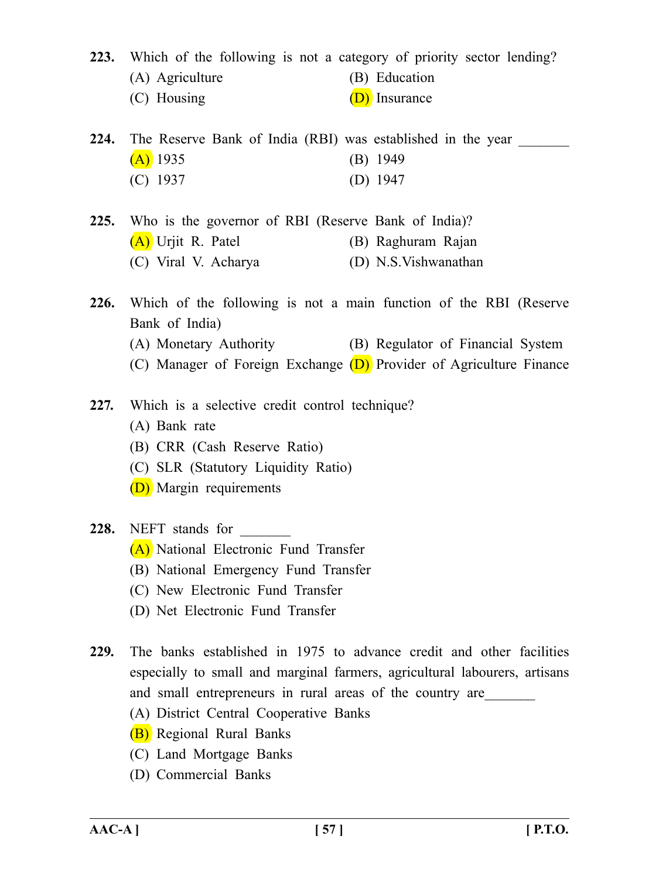**223.** Which of the following is not a category of priority sector lending?

- (A) Agriculture (B) Education
- (C) Housing  $(D)$  Insurance
- **224.** The Reserve Bank of India (RBI) was established in the year  $(A)$  1935 (B) 1949 (C) 1937 (D) 1947
- **225.** Who is the governor of RBI (Reserve Bank of India)? (A) Urjit R. Patel (B) Raghuram Rajan (C) Viral V. Acharya (D) N.S.Vishwanathan
- **226.** Which of the following is not a main function of the RBI (Reserve Bank of India)
	- (A) Monetary Authority (B) Regulator of Financial System
	- (C) Manager of Foreign Exchange  $(D)$  Provider of Agriculture Finance
- **227.** Which is a selective credit control technique?
	- (A) Bank rate
	- (B) CRR (Cash Reserve Ratio)
	- (C) SLR (Statutory Liquidity Ratio)
	- (D) Margin requirements

# 228. NEFT stands for

- (A) National Electronic Fund Transfer
- (B) National Emergency Fund Transfer
- (C) New Electronic Fund Transfer
- (D) Net Electronic Fund Transfer
- **229.** The banks established in 1975 to advance credit and other facilities especially to small and marginal farmers, agricultural labourers, artisans and small entrepreneurs in rural areas of the country are
	- (A) District Central Cooperative Banks
	- (B) Regional Rural Banks
	- (C) Land Mortgage Banks
	- (D) Commercial Banks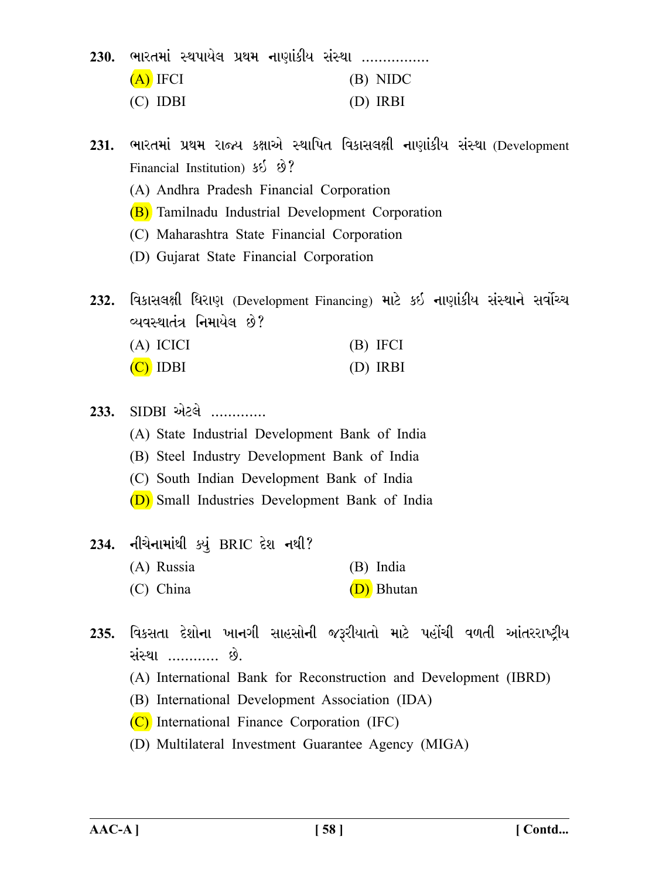|            |  |  | 230. ભારતમાં સ્થપાયેલ પ્રથમ નાણાંકીય સંસ્થા ……………. |
|------------|--|--|----------------------------------------------------|
| $(A)$ IFCI |  |  | (B) NIDC                                           |
| $(C)$ IDBI |  |  | (D) IRBI                                           |

- ભારતમાં પ્રથમ રાજ્ય કક્ષાએ સ્થાપિત વિકાસલક્ષી નાણાંકીય સંસ્થા (Development 231. Financial Institution) 55 8?
	- (A) Andhra Pradesh Financial Corporation
	- (B) Tamilnadu Industrial Development Corporation
	- (C) Maharashtra State Financial Corporation
	- (D) Gujarat State Financial Corporation

વિકાસલક્ષી ધિરાણ (Development Financing) માટે કઈ નાણાંકીય સંસ્થાને સર્વોચ્ચ  $232.$ વ્યવસ્થાતંત્ર નિમાયેલ છે?

| (A) ICICI  | (B) IFCI |
|------------|----------|
| $(C)$ IDBI | (D) IRBI |

- $SIDBI$  એટલે ............ 233.
	- (A) State Industrial Development Bank of India
	- (B) Steel Industry Development Bank of India
	- (C) South Indian Development Bank of India
	- (D) Small Industries Development Bank of India
- નીચેનામાંથી ક્યું BRIC દેશ નથી? 234. (A) Russia (B) India (D) Bhutan  $(C)$  China
- 235. વિકસતા દેશોના ખાનગી સાહસોની જરૂરીયાતો માટે પહોંચી વળતી આંતરરાષ્ટ્રીય સંસ્થા ………… છે.
	- (A) International Bank for Reconstruction and Development (IBRD)
	- (B) International Development Association (IDA)
	- (C) International Finance Corporation (IFC)
	- (D) Multilateral Investment Guarantee Agency (MIGA)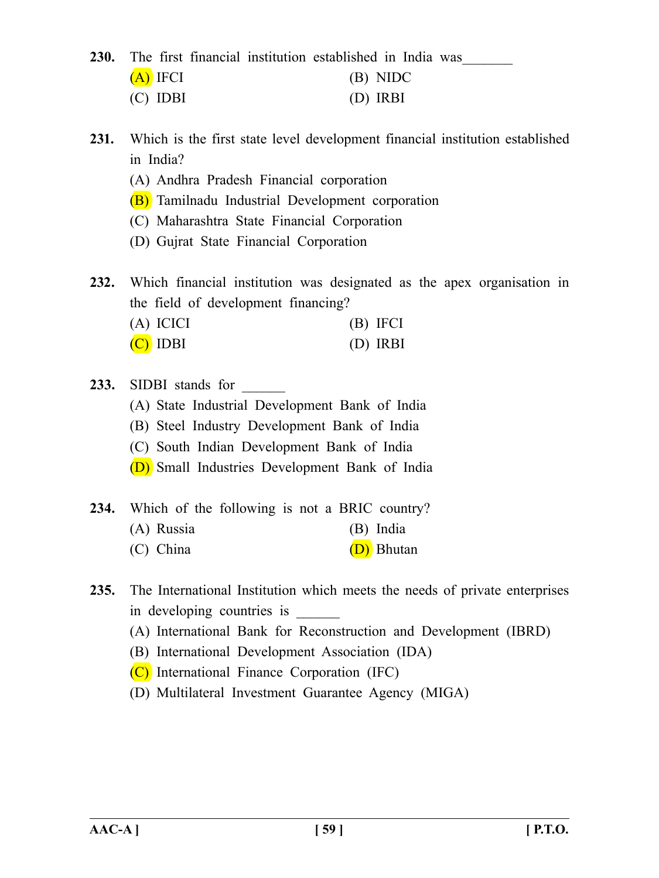230. The first financial institution established in India was (A) IFCI (B) NIDC (C) IDBI (D) IRBI

**231.** Which is the first state level development financial institution established in India?

- (A) Andhra Pradesh Financial corporation
- (B) Tamilnadu Industrial Development corporation
- (C) Maharashtra State Financial Corporation
- (D) Gujrat State Financial Corporation

**232.** Which financial institution was designated as the apex organisation in the field of development financing? (A) ICICI (B) IFCI

| $(A)$ ICICI | $(D)$ IF $Cl$ |
|-------------|---------------|
| $(C)$ IDBI  | $(D)$ IRBI    |

- 233. SIDBI stands for
	- (A) State Industrial Development Bank of India
	- (B) Steel Industry Development Bank of India
	- (C) South Indian Development Bank of India
	- (D) Small Industries Development Bank of India
- **234.** Which of the following is not a BRIC country?
	- (A) Russia (B) India
	- (C) China  $(D)$  Bhutan
- **235.** The International Institution which meets the needs of private enterprises in developing countries is
	- (A) International Bank for Reconstruction and Development (IBRD)
	- (B) International Development Association (IDA)
	- (C) International Finance Corporation (IFC)
	- (D) Multilateral Investment Guarantee Agency (MIGA)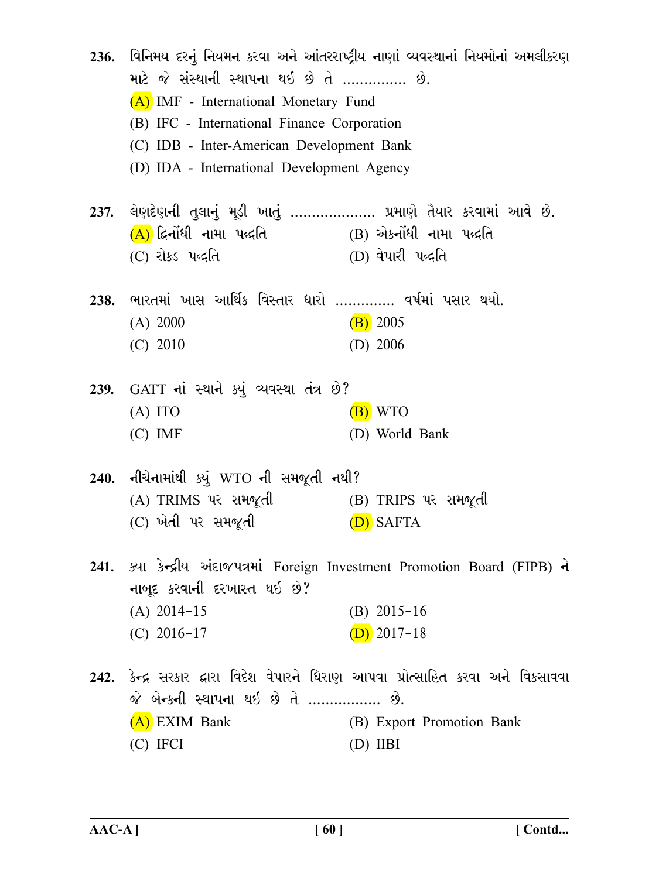| માટે જે સંસ્થાની સ્થાપના થઇ છે તે …………… છે.             | 236.  વિનિમય દરનું નિયમન કરવા અને આંતરરાષ્ટ્રીય નાણાં વ્યવસ્થાનાં નિયમોનાં અમલીકરણ |  |
|---------------------------------------------------------|------------------------------------------------------------------------------------|--|
| (A) IMF - International Monetary Fund                   |                                                                                    |  |
|                                                         |                                                                                    |  |
| (B) IFC - International Finance Corporation             |                                                                                    |  |
| (C) IDB - Inter-American Development Bank               |                                                                                    |  |
| (D) IDA - International Development Agency              |                                                                                    |  |
|                                                         | 237. લેણદેણની તુલાનું મૂડી ખાતું ………………. પ્રમાણે તૈયાર કરવામાં આવે છે.             |  |
| $(A)$ દ્વિનોંધી નામા પદ્ધતિ (B) એકનોંધી નામા પદ્ધતિ     |                                                                                    |  |
| (C) રોકડ પદ્ધતિ                                         | (D) વેપારી પદ્ધતિ                                                                  |  |
| 238. ભારતમાં ખાસ આર્થિક વિસ્તાર ધારો  વર્ષમાં પસાર થયો. |                                                                                    |  |
| (A) 2000                                                | $(B)$ 2005                                                                         |  |
| $(C)$ 2010                                              | $(D)$ 2006                                                                         |  |
|                                                         |                                                                                    |  |
| 239. GATT નાં સ્થાને ક્યું વ્યવસ્થા તંત્ર છે?           |                                                                                    |  |
| $(A)$ ITO                                               | $(B)$ WTO                                                                          |  |
| $(C)$ IMF                                               | (D) World Bank                                                                     |  |
| 240. નીચેનામાંથી ક્યું WTO ની સમજૂતી નથી?               |                                                                                    |  |
| (A) TRIMS પર સમજૂતી                                     | (B) TRIPS પર સમજૂતી                                                                |  |
| (C) ખેતી પર સમજૂતી                                      | (D) SAFTA                                                                          |  |
|                                                         |                                                                                    |  |
|                                                         | 241. ક્યા કેન્દ્રીય અંદાજપત્રમાં Foreign Investment Promotion Board (FIPB) ને      |  |
| નાબૂદ કરવાની દરખાસ્ત થઇ છે?                             |                                                                                    |  |
| $(A)$ 2014-15                                           | $(B)$ 2015-16                                                                      |  |
| $(C)$ 2016-17                                           | $(D)$ 2017-18                                                                      |  |
|                                                         | 242. કેન્દ્ર સરકાર દ્વારા વિદેશ વેપારને ધિરાણ આપવા પ્રોત્સાહિત કરવા અને વિકસાવવા   |  |
| જે બેન્કની સ્થાપના થઇ છે તે ……………… છે.                  |                                                                                    |  |
| (A) EXIM Bank                                           | (B) Export Promotion Bank                                                          |  |
| $(C)$ IFCI                                              | $(D)$ IIBI                                                                         |  |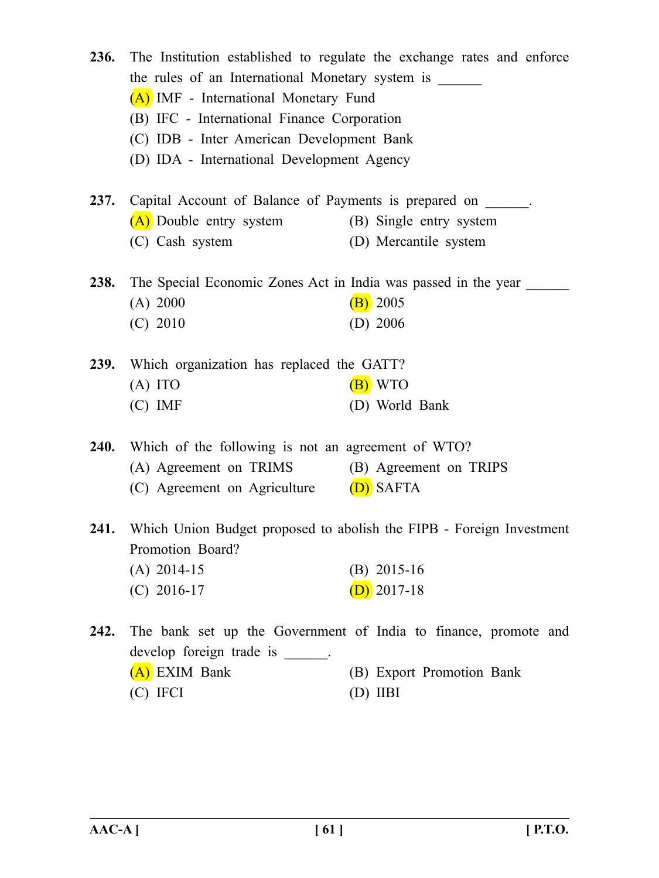| <b>236.</b> | the rules of an International Monetary system is _______<br>(A) IMF - International Monetary Fund<br>(B) IFC - International Finance Corporation<br>(C) IDB - Inter American Development Bank<br>(D) IDA - International Development Agency | The Institution established to regulate the exchange rates and enforce |
|-------------|---------------------------------------------------------------------------------------------------------------------------------------------------------------------------------------------------------------------------------------------|------------------------------------------------------------------------|
| <b>237.</b> | Capital Account of Balance of Payments is prepared on ______.                                                                                                                                                                               |                                                                        |
|             | (A) Double entry system                                                                                                                                                                                                                     | (B) Single entry system                                                |
|             | (C) Cash system                                                                                                                                                                                                                             | (D) Mercantile system                                                  |
|             | <b>238.</b> The Special Economic Zones Act in India was passed in the year                                                                                                                                                                  |                                                                        |
|             | (A) 2000                                                                                                                                                                                                                                    | $(B)$ 2005                                                             |
|             | $(C)$ 2010                                                                                                                                                                                                                                  | $(D)$ 2006                                                             |
|             | 239. Which organization has replaced the GATT?                                                                                                                                                                                              |                                                                        |
|             | $(A)$ ITO                                                                                                                                                                                                                                   | $(B)$ WTO                                                              |
|             | $(C)$ IMF                                                                                                                                                                                                                                   | (D) World Bank                                                         |
|             | 240. Which of the following is not an agreement of WTO?                                                                                                                                                                                     |                                                                        |
|             | (A) Agreement on TRIMS (B) Agreement on TRIPS                                                                                                                                                                                               |                                                                        |
|             | (C) Agreement on Agriculture $(D)$ SAFTA                                                                                                                                                                                                    |                                                                        |
| 241.        |                                                                                                                                                                                                                                             | Which Union Budget proposed to abolish the FIPB - Foreign Investment   |
|             | Promotion Board?                                                                                                                                                                                                                            |                                                                        |
|             | $(A)$ 2014-15                                                                                                                                                                                                                               | $(B)$ 2015-16                                                          |
|             | $(C)$ 2016-17                                                                                                                                                                                                                               | $(D)$ 2017-18                                                          |
| 242.        |                                                                                                                                                                                                                                             | The bank set up the Government of India to finance, promote and        |
|             | develop foreign trade is for                                                                                                                                                                                                                |                                                                        |
|             | (A) EXIM Bank                                                                                                                                                                                                                               | (B) Export Promotion Bank                                              |
|             | (C) IFCI                                                                                                                                                                                                                                    | $(D)$ IIBI                                                             |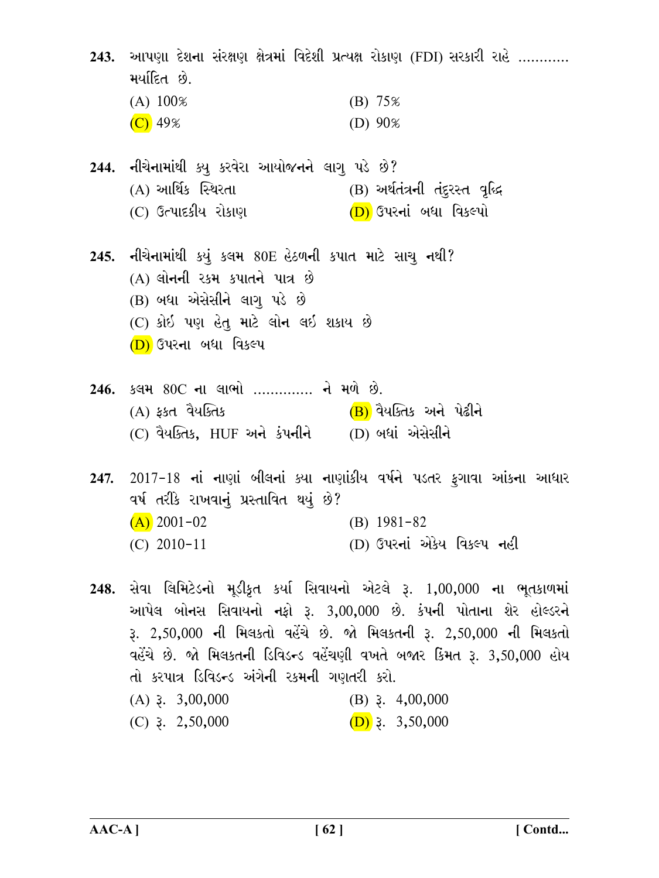243. આપણા દેશના સંરક્ષણ ક્ષેત્રમાં વિદેશી પ્રત્યક્ષ રોકાણ (FDI) સરકારી રાહે ………… મર્યાદિત છે.  $(A) 100\%$  $(B) 75%$  $(C)$  49% (D)  $90\%$ 244. નીચેનામાંથી ક્યુ કરવેરા આયોજનને લાગૂ પડે છે? (A) આર્થિક સ્થિરતા (B) અર્થતંત્રની તંદુરસ્ત વૃદ્ધિ (C) ઉત્પાદકીય રોકાણ (D) ઉપરનાં બધા વિકલ્પો 245. નીચેનામાંથી કયું કલમ 80E હેઠળની કપાત માટે સાચ નથી? (A) લોનની રકમ કપાતને પાત્ર છે (B) બધા એસેસીને લાગ પડે છે  $(C)$  કોઈ પણ હેતુ માટે લોન લઈ શકાય છે (D) ઉપરના બધા વિકલ્પ 246. કલમ 80C ના લાભો .............. ને મળે છે. (A) કકત વૈયક્તિક (B) વૈયક્તિક અને પેઢીને (C) વૈયક્તિક, HUF અને કંપનીને (D) બધાં એસેસીને 247. 2017-18 નાં નાણાં બીલનાં ક્યા નાણાંકીય વર્ષને પડતર ફગાવા આંકના આધાર વર્ષ તરીકે રાખવાનં પ્રસ્તાવિત થયં છે?  $(A)$  2001-02  $(B)$  1981-82 (D) ઉપરનાં એકેય વિકલ્પ નહી  $(C)$  2010-11 248. સેવા લિમિટેડનો મૂડીકૃત કર્યા સિવાયનો એટલે રૂ. 1,00,000 ના ભૂતકાળમાં આપેલ બોનસ સિવાયનો નફો રૂ. 3,00,000 છે. કંપની પોતાના શેર હોલ્ડરને <u>રૂ. 2,50,000 ની મિલકતો વહેંચે છે. જો મિલકતની રૂ. 2,50,000 ની મિલકતો</u> વહેંચે છે. જો મિલકતની ડિવિડન્ડ વહેંચણી વખતે બજાર કિંમત રૂ. 3,50,000 હોય તો કરપાત્ર ડિવિડન્ડ અંગેની રકમની ગણતરી કરો.

 $(A)$  3. 3,00,000  $(B)$  3. 4,00,000  $(C)$  3. 2,50,000  $(D)$  3. 3,50,000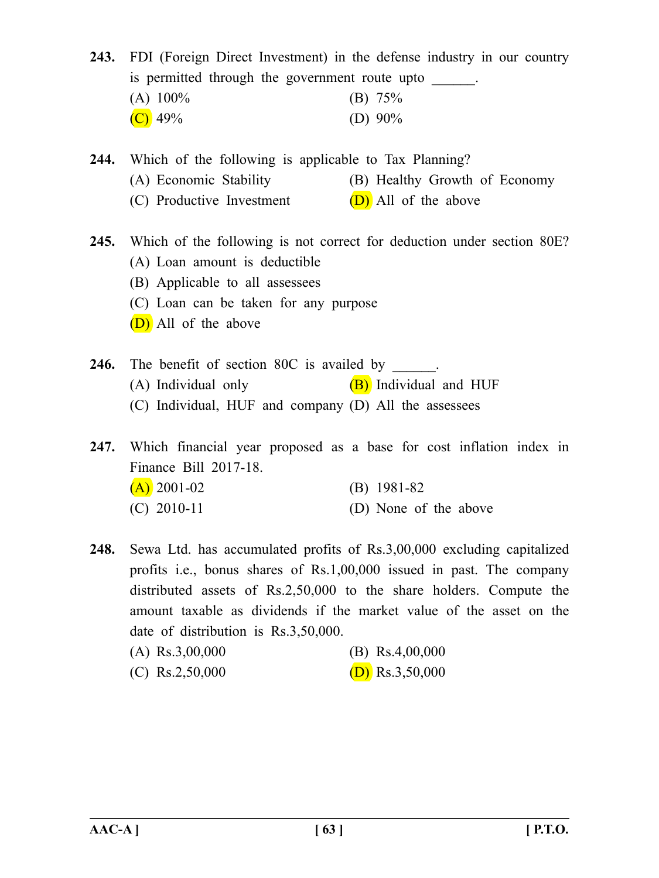**243.** FDI (Foreign Direct Investment) in the defense industry in our country is permitted through the government route upto (A)  $100\%$  (B)  $75\%$ 

| $\sim$ $\sim$ |            |
|---------------|------------|
| $(C)$ 49%     | (D) $90\%$ |

**244.** Which of the following is applicable to Tax Planning? (A) Economic Stability (B) Healthy Growth of Economy

(C) Productive Investment  $(D)$  All of the above

**245.** Which of the following is not correct for deduction under section 80E? (A) Loan amount is deductible

- (B) Applicable to all assessees
- (C) Loan can be taken for any purpose
- (D) All of the above
- **246.** The benefit of section 80C is availed by (A) Individual only  $(B)$  Individual and HUF (C) Individual, HUF and company (D) All the assessees

**247.** Which financial year proposed as a base for cost inflation index in Finance Bill 2017-18.  $(A)$  2001-02 (B) 1981-82  $(C)$  2010-11 (D) None of the above

**248.** Sewa Ltd. has accumulated profits of Rs.3,00,000 excluding capitalized profits i.e., bonus shares of Rs.1,00,000 issued in past. The company distributed assets of Rs.2,50,000 to the share holders. Compute the amount taxable as dividends if the market value of the asset on the date of distribution is Rs.3,50,000.

| (A) $\text{Rs}.3,00,000$ | (B) $\text{Rs}.4,00,000$ |
|--------------------------|--------------------------|
| (C) $\text{Rs.}2,50,000$ | (D) Rs.3,50,000          |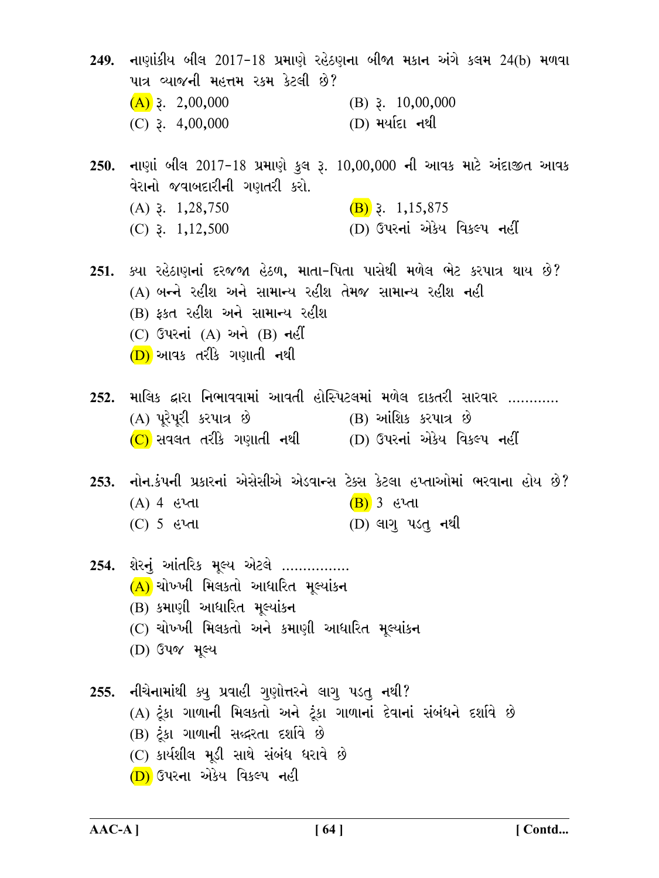249. નાણાંકીય બીલ 2017-18 પ્રમાણે રહેઠણના બીજા મકાન અંગે કલમ 24(b) મળવા પાત્ર વ્યાજની મહત્તમ રકમ કેટલી છે?  $(A)$  3. 2,00,000 (B)  $3. 10,00,000$  $(C)$  3. 4,00,000 (D) મર્યાદા નથી 250. નાણાં બીલ 2017-18 પ્રમાણે કુલ રૂ. 10,00,000 ની આવક માટે અંદાજીત આવક વેરાનો જવાબદારીની ગણતરી કરો.  $(A)$  3. 1,28,750  $(B)$  3. 1,15,875 (D) ઉપરનાં એકેય વિકલ્પ નહીં  $(C)$  3. 1,12,500 251. ક્યા રહેઠાણનાં દરજજા હેઠળ, માતા-પિતા પાસેથી મળેલ ભેટ કરપાત્ર થાય છે? (A) બન્ને રહીશ અને સામાન્ય રહીશ તેમજ સામાન્ય રહીશ નહી (B) કકત રહીશ અને સામાન્ય રહીશ  $(C)$  ઉપરનાં  $(A)$  અને  $(B)$  નહીં (D) આવક તરીકે ગણાતી નથી માલિક દ્વારા નિભાવવામાં આવતી હોસ્પિટલમાં મળેલ દાકતરી સારવાર ………… 252. (A) પુરેપુરી કરપાત્ર છે (B) આંશિક કરપાત્ર છે  $(C)$  સવલત તરીકે ગણાતી નથી  $(D)$  ઉપરનાં એકેય વિકલ્પ નહીં 253. નોન.કંપની પ્રકારનાં એસેસીએ એડવાન્સ ટેક્સ કેટલા હપ્તાઓમાં ભરવાના હોય છે?  $(A)$  4 હેમ્તા  $(B)$  3 હપ્તા  $(D)$  લાગુ પડતુ નથી  $(C)$  5 હપ્તા 254. શેરનું આંતરિક મૂલ્ય એટલે ................  $(A)$  ચોખ્ખી મિલકતો આધારિત મૂલ્યાંકન (B) કમાણી આધારિત મુલ્યાંકન (C) ચોખ્ખી મિલકતો અને કમાણી આધારિત મૂલ્યાંકન (D) ઉપજ મૂલ્ય 255. નીચેનામાંથી ક્યુ પ્રવાહી ગુણોત્તરને લાગુ પડતુ નથી? (A) ટૂંકા ગાળાની મિલકતો અને ટૂંકા ગાળાનાં દેવાનાં સંબંધને દર્શાવે છે (B) ટૂંકા ગાળાની સહ્દરતા દર્શાવે છે  $(C)$  કાર્યશીલ મૂડી સાથે સંબંધ ધરાવે છે (D) ઉપરના એકેય વિકલ્પ નહી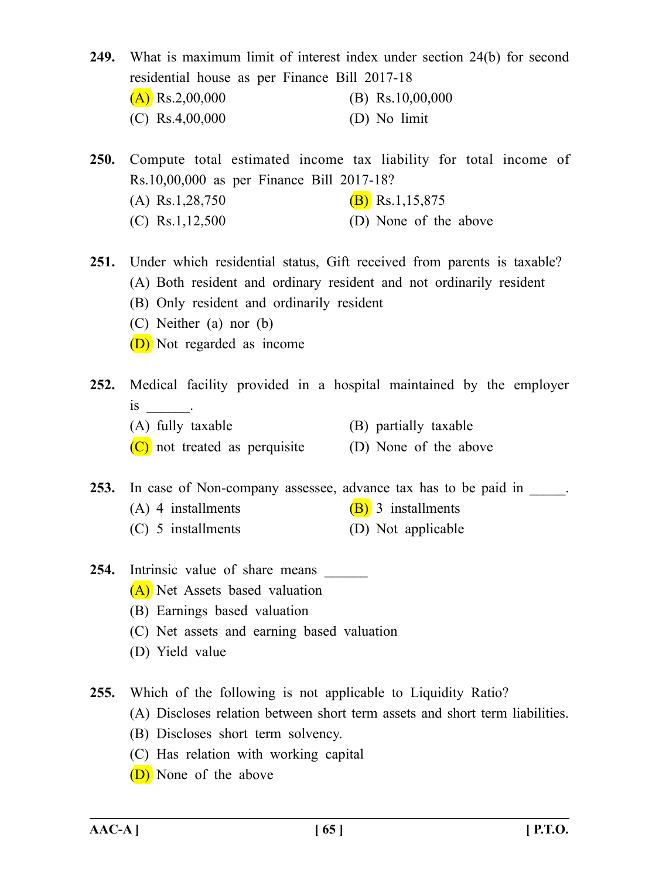**249.** What is maximum limit of interest index under section 24(b) for second residential house as per Finance Bill 2017-18  $(A)$  Rs.2,00,000 (B) Rs.10,00,000 (C) Rs.4,00,000 (D) No limit

**250.** Compute total estimated income tax liability for total income of Rs.10,00,000 as per Finance Bill 2017-18? (A) Rs.1,28,750 (B) Rs.1,15,875  $(C)$  Rs.1,12,500  $(D)$  None of the above

**251.** Under which residential status, Gift received from parents is taxable? (A) Both resident and ordinary resident and not ordinarily resident (B) Only resident and ordinarily resident (C) Neither (a) nor (b)

(D) Not regarded as income

**252.** Medical facility provided in a hospital maintained by the employer  $is$   $\qquad$ (A) fully taxable (B) partially taxable

- 
- $(C)$  not treated as perquisite (D) None of the above

253. In case of Non-company assessee, advance tax has to be paid in  $\blacksquare$ .

- (A) 4 installments (B) 3 installments
- (C) 5 installments (D) Not applicable
- 254. Intrinsic value of share means (A) Net Assets based valuation
	- (B) Earnings based valuation
	- (C) Net assets and earning based valuation
	- (D) Yield value

**255.** Which of the following is not applicable to Liquidity Ratio?

- (A) Discloses relation between short term assets and short term liabilities.
- (B) Discloses short term solvency.
- (C) Has relation with working capital
- (D) None of the above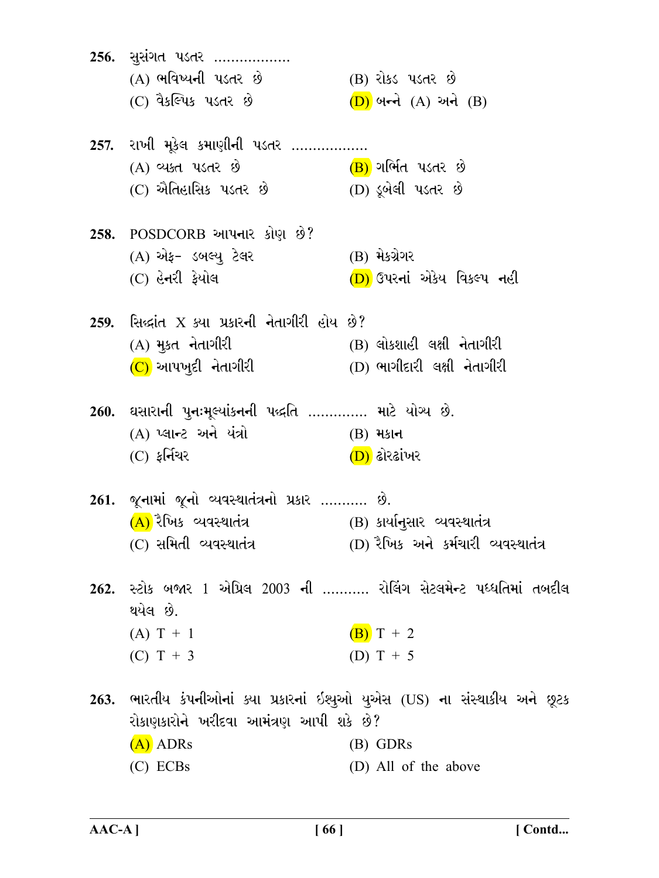256. सुसंगत पडतर .................. (A) ભવિષ્યની પડતર છે (B) રોકડ પડતર છે (C) વૈકલ્પિક પડતર છે  $(D)$  બન્ને  $(A)$  અને  $(B)$ 257. રાખી મૂકેલ કમાણીની પડતર .................. (A) વ્યક્ત પડતર છે (B) ગર્ભિત પડતર છે (D) ડૂબેલી પડતર છે (C) ઐતિહાસિક પડતર છે 258. POSDCORB આપનાર કોણ છે? (A) એફ- ડબલ્યુ ટેલર (B) મેકગ્રેગર (C) હેનરી ફેયોલ (D) ઉપરનાં એકેય વિકલ્પ નહી 259. સિદ્ધાંત $X$  ક્યા પ્રકારની નેતાગીરી હોય છે?  $(A)$  મૂકત નેતાગીરી (B) લોકશાહી લક્ષી નેતાગીરી  $(C)$  આપખુદી નેતાગીરી  $(D)$  ભાગીદારી લક્ષી નેતાગીરી 260. ઘસારાની પુનઃમૂલ્યાંકનની પદ્ધતિ .............. માટે યોગ્ય છે. (A) પ્લાન્ટ અને યંત્રો  $(B)$  મકાન  $(C)$  ફર્નિચર (D) ઢોરઢાંખર 261. જુનામાં જૂનો વ્યવસ્થાતંત્રનો પ્રકાર ........... છે.  $(A)$ રૈખિક વ્યવસ્થાતંત્ર (B) કાર્યાનુસાર વ્યવસ્થાતંત્ર (C) સમિતી વ્યવસ્થાતંત્ર (D) રૈખિક અને કર્મચારી વ્યવસ્થાતંત્ર 262. સ્ટોક બજાર 1 એપ્રિલ 2003 ની ........... રોલિંગ સેટલમેન્ટ પધ્ધતિમાં તબદીલ થયેલ છે.  $(A) T + 1$  $(B) T + 2$ (D)  $T + 5$ (C)  $T + 3$ 263. ભારતીય કંપનીઓનાં ક્યા પ્રકારનાં ઇશ્યુઓ યુએસ (US) ના સંસ્થાકીય અને છૂટક રોકાણકારોને ખરીદવા આમંત્રણ આપી શકે છે?  $(A)$  ADRs  $(B)$  GDRs  $(C)$  ECBs (D) All of the above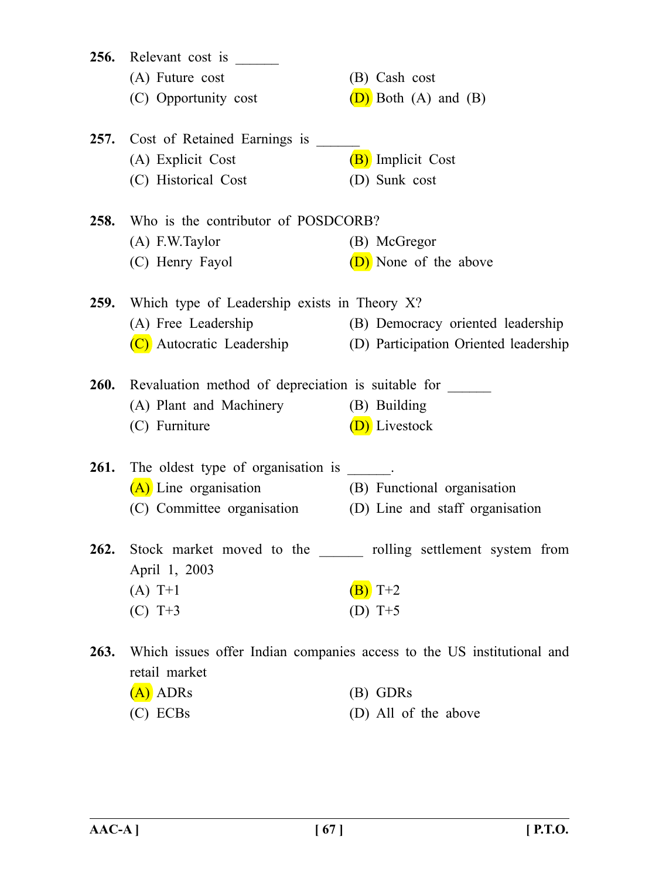| 256.        | Relevant cost is                                                                        |                                                                  |  |
|-------------|-----------------------------------------------------------------------------------------|------------------------------------------------------------------|--|
|             | (A) Future cost                                                                         | (B) Cash cost                                                    |  |
|             | (C) Opportunity cost                                                                    | $(D)$ Both $(A)$ and $(B)$                                       |  |
| <b>257.</b> | Cost of Retained Earnings is                                                            |                                                                  |  |
|             | (A) Explicit Cost                                                                       | (B) Implicit Cost                                                |  |
|             | (C) Historical Cost                                                                     | (D) Sunk cost                                                    |  |
| 258.        | Who is the contributor of POSDCORB?                                                     |                                                                  |  |
|             | $(A)$ F.W. Taylor                                                                       | (B) McGregor                                                     |  |
|             | (C) Henry Fayol                                                                         | (D) None of the above                                            |  |
|             | <b>259.</b> Which type of Leadership exists in Theory X?                                |                                                                  |  |
|             | (A) Free Leadership                                                                     | (B) Democracy oriented leadership                                |  |
|             | (C) Autocratic Leadership                                                               | (D) Participation Oriented leadership                            |  |
| <b>260.</b> | Revaluation method of depreciation is suitable for                                      |                                                                  |  |
|             | (A) Plant and Machinery                                                                 | (B) Building                                                     |  |
|             | (C) Furniture                                                                           | (D) Livestock                                                    |  |
| <b>261.</b> | The oldest type of organisation is ______.                                              |                                                                  |  |
|             | $(A)$ Line organisation                                                                 | (B) Functional organisation                                      |  |
|             | (C) Committee organisation (D) Line and staff organisation                              |                                                                  |  |
| 262.        |                                                                                         | Stock market moved to the _______ rolling settlement system from |  |
|             | April 1, 2003                                                                           |                                                                  |  |
|             | $(A) T+1$                                                                               | $(B)$ T+2                                                        |  |
|             | $(C) T+3$                                                                               | (D) $T+5$                                                        |  |
| 263.        | Which issues offer Indian companies access to the US institutional and<br>retail market |                                                                  |  |
|             | $(A)$ ADRs                                                                              | (B) GDRs                                                         |  |
|             | $(C)$ ECBs                                                                              | (D) All of the above                                             |  |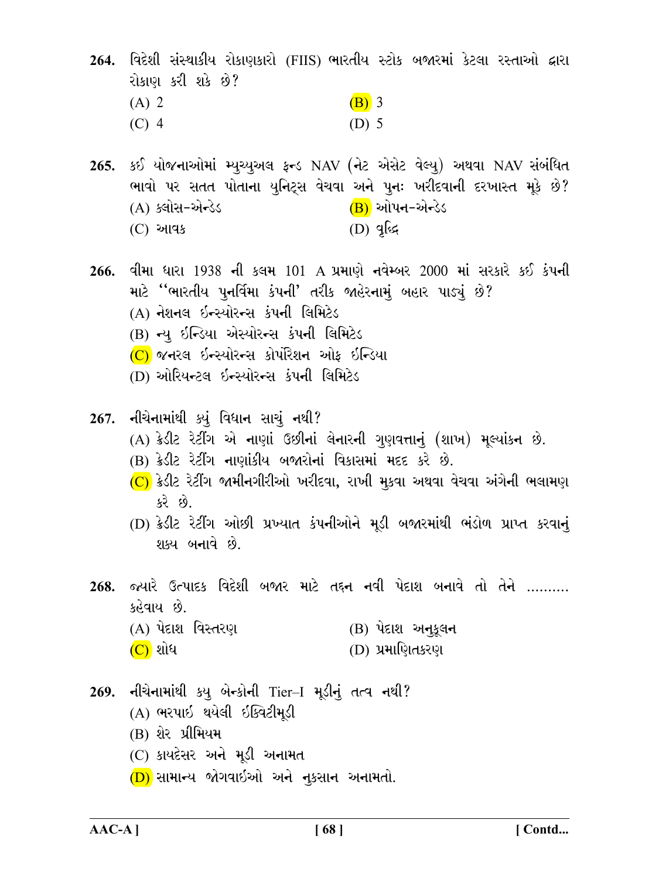264. વિદેશી સંસ્થાકીય રોકાણકારો (FIIS) ભારતીય સ્ટોક બજારમાં કેટલા રસ્તાઓ દ્વારા રોકાણ કરી શકે છે?  $(A)$  2  $(B)$  3  $(C)$  4  $(D)$  5

265. કઈ યોજનાઓમાં મ્યુચ્યુઅલ ફ્રન્ડ NAV (નેટ એસેટ વેલ્યુ) અથવા NAV સંબંધિત ભાવો પર સતત પોતાના યુનિટ્સ વેચવા અને પૂનઃ ખરીદવાની દરખાસ્ત મૂકે છે?  $(B)$  ઓપન-એન્ડેડ (A) ક્લોસ-એન્ડેડ  $(D)$  qlss (C) આવક

- 266. વીમા ધારા 1938 ની કલમ 101 A પ્રમાણે નવેમ્બર 2000 માં સરકારે કઈ કંપની માટે "ભારતીય પુનર્વિમા કંપની' તરીક જાહેરનામું બહાર પાડ્યું છે?
	- (A) નેશનલ ઇન્સ્યોરન્સ કંપની લિમિટેડ
	- (B) न्यू ઇન્ડિયા એસ્યોરન્સ કંપની લિમિટેડ
	- (C) જનરલ ઇન્સ્યોરન્સ કોર્પોરેશન ઓફ ઇન્ડિયા
	- (D) ઓરિયન્ટલ ઇન્સ્યોરન્સ કંપની લિમિટેડ
- 267. નીચેનામાંથી ક્યું વિધાન સાચું નથી?
	- (A) ક્રેડીટ રેટીંગ એ નાણાં ઉછીનાં લેનારની ગુણવત્તાનું (શાખ) મૂલ્યાંકન છે.
	- (B) ક્રેડીટ રેટીંગ નાણાંકીય બજારોનાં વિકાસમાં મદદ કરે છે.
	- $(C)$  ક્રેડીટ રેટીંગ જામીનગીરીઓ ખરીદવા, રાખી મૂકવા અથવા વેચવા અંગેની ભલામણ કરે છે.
	- (D) ક્રેડીટ રેટીંગ ઓછી પ્રખ્યાત કંપનીઓને મૂડી બજારમાંથી ભંડોળ પ્રાપ્ત કરવાનું શક્ય બનાવે છે.
- 268. જ્યારે ઉત્પાદક વિદેશી બજાર માટે તદ્દન નવી પેદાશ બનાવે તો તેને ………. કહેવાય છે.
	- (A) પેદાશ વિસ્તરણ  $(B)$  પેદાશ અનુકૂલન
	- $(C)$  શોધ
- (D) પ્રમાણિતકરણ
- 269. નીચેનામાંથી કય બેન્કોની Tier-I મૂડીનું તત્વ નથી? (A) ભરપાઇ થયેલી ઇક્વિટીમૂડી (B) શેર પ્રીમિયમ (C) કાયદેસર અને મૂડી અનામત (D) સામાન્ય જોગવાઇઓ અને નૂકસાન અનામતો.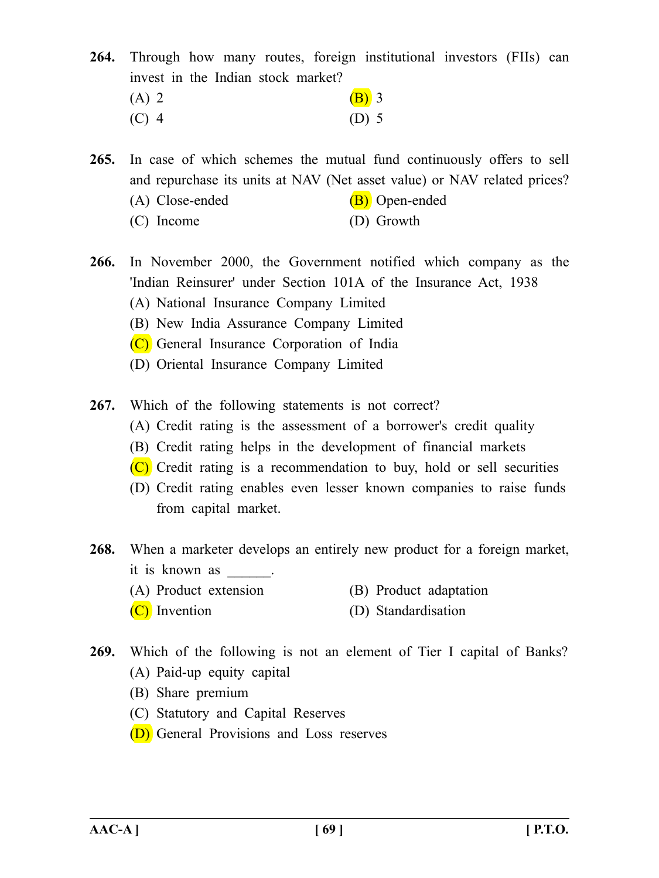**264.** Through how many routes, foreign institutional investors (FIIs) can invest in the Indian stock market? (A) 2 (B) 3 (C) 4 (D) 5

**265.** In case of which schemes the mutual fund continuously offers to sell and repurchase its units at NAV (Net asset value) or NAV related prices?

- (A) Close-ended  $(B)$  Open-ended
- (C) Income (D) Growth
- **266.** In November 2000, the Government notified which company as the 'Indian Reinsurer' under Section 101A of the Insurance Act, 1938 (A) National Insurance Company Limited
	- (B) New India Assurance Company Limited
	- (C) General Insurance Corporation of India
	- (D) Oriental Insurance Company Limited
- **267.** Which of the following statements is not correct?
	- (A) Credit rating is the assessment of a borrower's credit quality
	- (B) Credit rating helps in the development of financial markets
	- $(C)$  Credit rating is a recommendation to buy, hold or sell securities
	- (D) Credit rating enables even lesser known companies to raise funds from capital market.
- **268.** When a marketer develops an entirely new product for a foreign market, it is known as .
	- (A) Product extension (B) Product adaptation
	- (C) Invention (D) Standardisation
- **269.** Which of the following is not an element of Tier I capital of Banks? (A) Paid-up equity capital
	-
	- (B) Share premium
	- (C) Statutory and Capital Reserves
	- (D) General Provisions and Loss reserves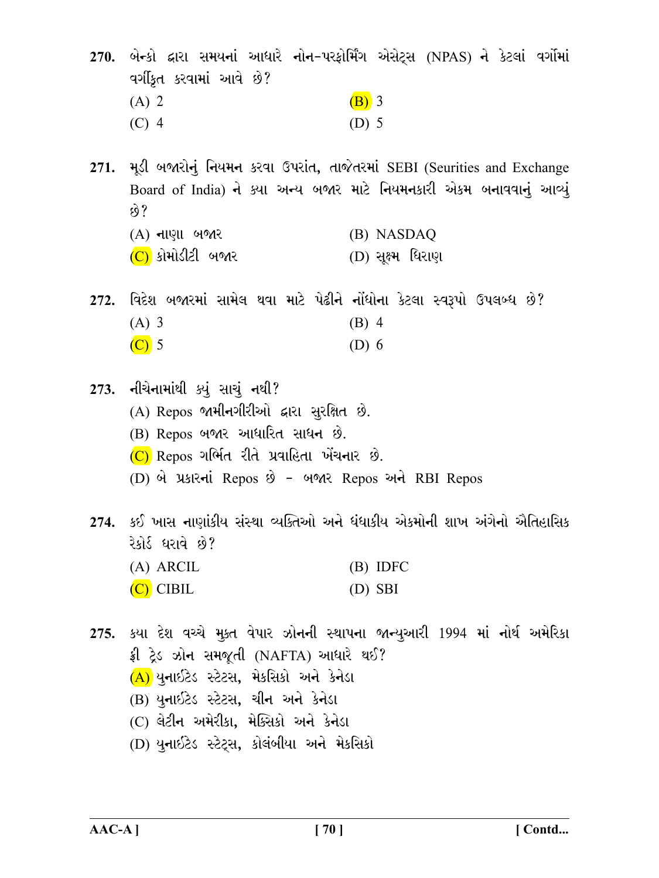270. બેન્કો દ્વારા સમયનાં આધારે નોન-પરફોર્મિંગ એસેટ્સ (NPAS) ને કેટલાં વર્ગોમાં વર્ગીકૃત કરવામાં આવે છે?  $(B)$  3  $(A)$  2  $(C)$  4  $(D)$  5

271. મૂડી બજારોનું નિયમન કરવા ઉપરાંત, તાજેતરમાં SEBI (Seurities and Exchange Board of India) ને ક્યા અન્ય બજાર માટે નિયમનકારી એકમ બનાવવાનું આવ્યું છે?

- (A) નાણા બજાર (B) NASDAQ
- (C) કોમોડીટી બજાર (D) સક્ષ્મ ધિરાણ

272. વિદેશ બજારમાં સામેલ થવા માટે પેઢીને નોંધોના કેટલા સ્વરૂપો ઉપલબ્ધ છે?  $(A)$  3  $(B)$  4  $\overline{C}$  5  $(D)$  6

273. નીચેનામાંથી ક્યું સાચું નથી? (A) Repos જામીનગીરીઓ દ્વારા સુરક્ષિત છે. (B) Repos બજાર આધારિત સાધન છે.  $(C)$  Repos ગર્ભિત રીતે પ્રવાહિતા ખેંચનાર છે. (D) બે પ્રકારનાં Repos છે - બજાર Repos અને RBI Repos 274. કઈ ખાસ નાણાંકીય સંસ્થા વ્યક્તિઓ અને ધંધાકીય એકમોની શાખ અંગેનો ઐતિહાસિક રેકોર્ડ ધરાવે છે?  $(A)$  ARCIL  $(B)$  IDFC

 $(C)$  CIBIL  $(D)$  SBI

275. કયા દેશ વચ્ચે મૂક્ત વેપાર ઝોનની સ્થાપના જાન્યુઆરી 1994 માં નોર્થ અમેરિકા ફ્રી ટ્રેડ ઝોન સમજૂતી (NAFTA) આધારે થઈ?  $(A)$ યનાઈટેડ સ્ટેટસ, મેકસિકો અને કેનેડા (B) યુનાઇટેડ સ્ટેટસ, ચીન અને કેનેડા (C) લેટીન અમેરીકા, મેક્સિકો અને કેનેડા (D) યુનાઈટેડ સ્ટેટ્સ, કોલંબીયા અને મેકસિકો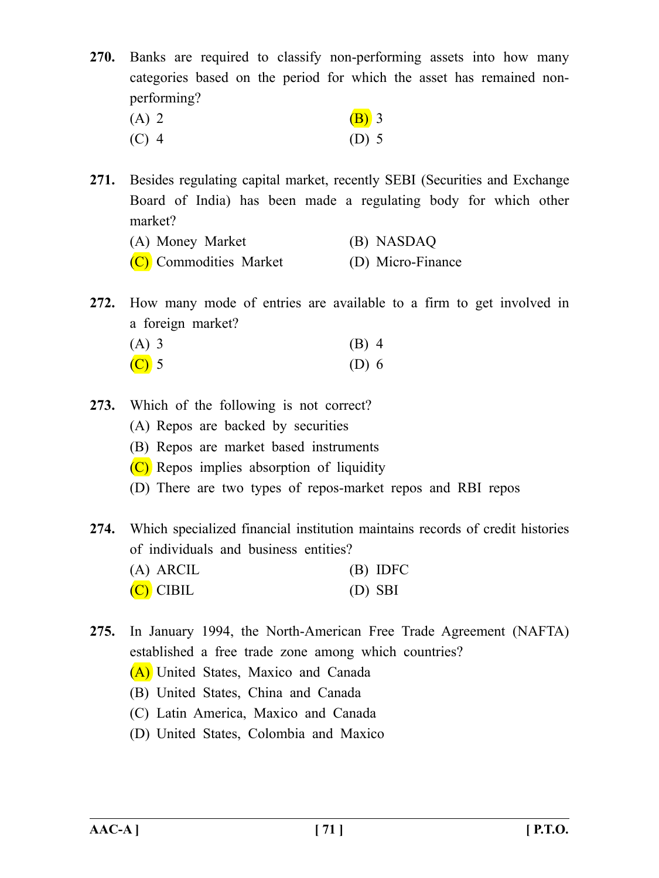**270.** Banks are required to classify non-performing assets into how many categories based on the period for which the asset has remained nonperforming?

| $(A)$ 2 | $(B)$ 3 |
|---------|---------|
| $(C)$ 4 | $(D)$ 5 |

**271.** Besides regulating capital market, recently SEBI (Securities and Exchange Board of India) has been made a regulating body for which other market?

| (A) Money Market       | (B) NASDAQ        |
|------------------------|-------------------|
| (C) Commodities Market | (D) Micro-Finance |

**272.** How many mode of entries are available to a firm to get involved in a foreign market?

| $(A)$ 3                 | $(B)$ 4 |
|-------------------------|---------|
| $\overline{\text{C}}$ 5 | $(D)$ 6 |

- **273.** Which of the following is not correct?
	- (A) Repos are backed by securities
	- (B) Repos are market based instruments
	- (C) Repos implies absorption of liquidity
	- (D) There are two types of repos-market repos and RBI repos

**274.** Which specialized financial institution maintains records of credit histories of individuals and business entities?

| $(A)$ ARCIL | $(B)$ IDFC |
|-------------|------------|
| $(C)$ CIBIL | $(D)$ SBI  |

**275.** In January 1994, the North-American Free Trade Agreement (NAFTA) established a free trade zone among which countries? (A) United States, Maxico and Canada

- (B) United States, China and Canada
- (C) Latin America, Maxico and Canada
- (D) United States, Colombia and Maxico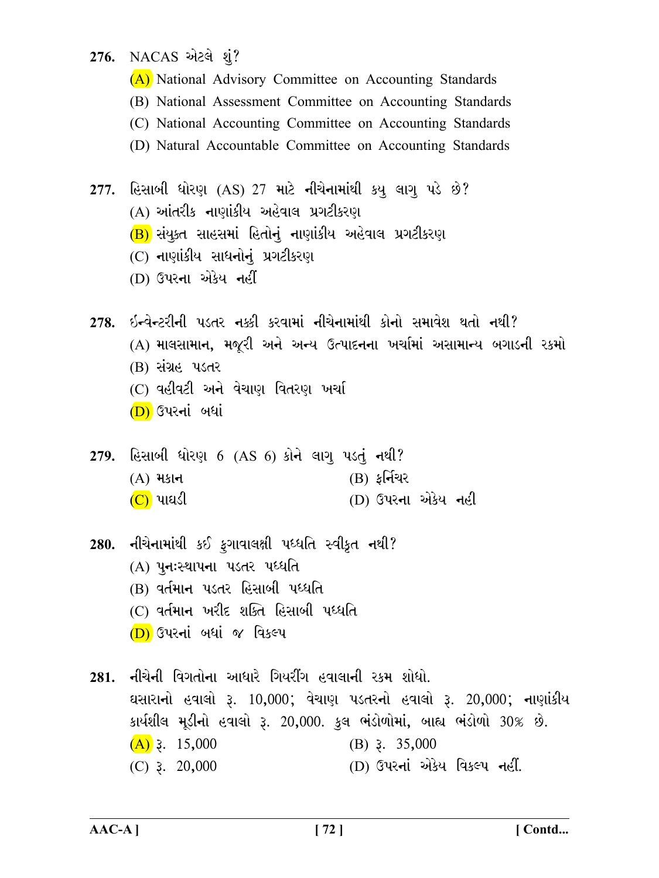276. NACAS એટલે શું?

(A) National Advisory Committee on Accounting Standards

- (B) National Assessment Committee on Accounting Standards
- (C) National Accounting Committee on Accounting Standards
- (D) Natural Accountable Committee on Accounting Standards
- 277. હિસાબી ધોરણ (AS) 27 માટે નીચેનામાંથી કયુ લાગૂ પડે છે? (A) આંતરીક નાણાંકીય અહેવાલ પ્રગટીકરણ (B) સંયુક્ત સાહસમાં હિતોનું નાણાંકીય અહેવાલ પ્રગટીકરણ (C) નાણાંકીય સાધનોનું પ્રગટીકરણ (D) ઉપરના એકેય નહીં
- 278. ઇન્વેન્ટરીની પડતર નક્કી કરવામાં નીચેનામાંથી કોનો સમાવેશ થતો નથી? (A) માલસામાન, મજૂરી અને અન્ય ઉત્પાદનના ખર્ચામાં અસામાન્ય બગાડની રકમો (B) સંગ્રહ પડતર (C) વહીવટી અને વેચાણ વિતરણ ખર્ચા (D) ઉપરનાં બધાં
- 279. હિસાબી ધોરણ 6  $(AS\ 6)$  કોને લાગૂ પડતું નથી? (B) કર્નિચર  $(A)$  મકાન (D) ઉપરના એકેય નહી (C) પાઘડી
- 280. નીચેનામાંથી કઈ ફગાવાલક્ષી પધ્ધતિ સ્વીકૃત નથી? (A) पूनःस्थापना पडतर पध्धति (B) વર્તમાન પડતર હિસાબી પધ્ધતિ (C) વર્તમાન ખરીદ શક્તિ હિસાબી પધ્ધતિ (D) ઉપરનાં બધાં જ વિકલ્પ
- 281. નીચેની વિગતોના આધારે ગિયરીંગ હવાલાની રકમ શોધો. ઘસારાનો હવાલો રૂ. 10,000; વેચાણ પડતરનો હવાલો રૂ. 20,000; નાણાંકીય કાર્યશીલ મૂડીનો હવાલો રૂ. 20,000. કુલ ભંડોળોમાં, બાહ્ય ભંડોળો 30% છે.  $(A)$  3. 15,000  $(B)$  3. 35,000 (D) ઉપરનાં એકેય વિકલ્પ નહીં.  $(C)$  3. 20,000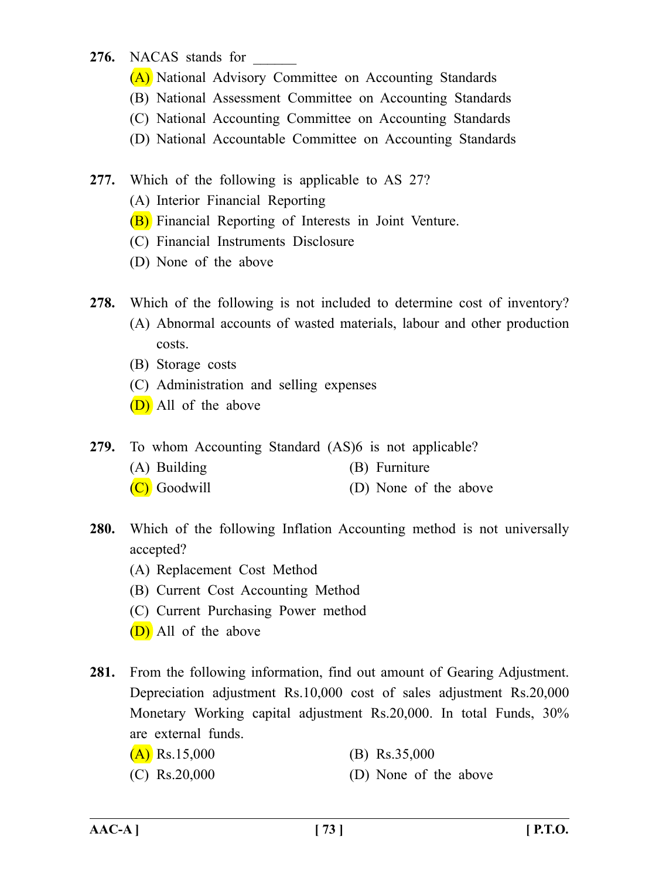# 276. NACAS stands for

- (A) National Advisory Committee on Accounting Standards
- (B) National Assessment Committee on Accounting Standards
- (C) National Accounting Committee on Accounting Standards
- (D) National Accountable Committee on Accounting Standards
- **277.** Which of the following is applicable to AS 27?
	- (A) Interior Financial Reporting
	- (B) Financial Reporting of Interests in Joint Venture.
	- (C) Financial Instruments Disclosure
	- (D) None of the above
- **278.** Which of the following is not included to determine cost of inventory?
	- (A) Abnormal accounts of wasted materials, labour and other production costs.
	- (B) Storage costs
	- (C) Administration and selling expenses
	- (D) All of the above
- **279.** To whom Accounting Standard (AS)6 is not applicable?
	- (A) Building (B) Furniture
	- (C) Goodwill (D) None of the above
- **280.** Which of the following Inflation Accounting method is not universally accepted?
	- (A) Replacement Cost Method
	- (B) Current Cost Accounting Method
	- (C) Current Purchasing Power method
	- (D) All of the above
- **281.** From the following information, find out amount of Gearing Adjustment. Depreciation adjustment Rs.10,000 cost of sales adjustment Rs.20,000 Monetary Working capital adjustment Rs.20,000. In total Funds, 30% are external funds.
	- $(A)$  Rs.15,000 (B) Rs.35,000
	- (C) Rs.20,000 (D) None of the above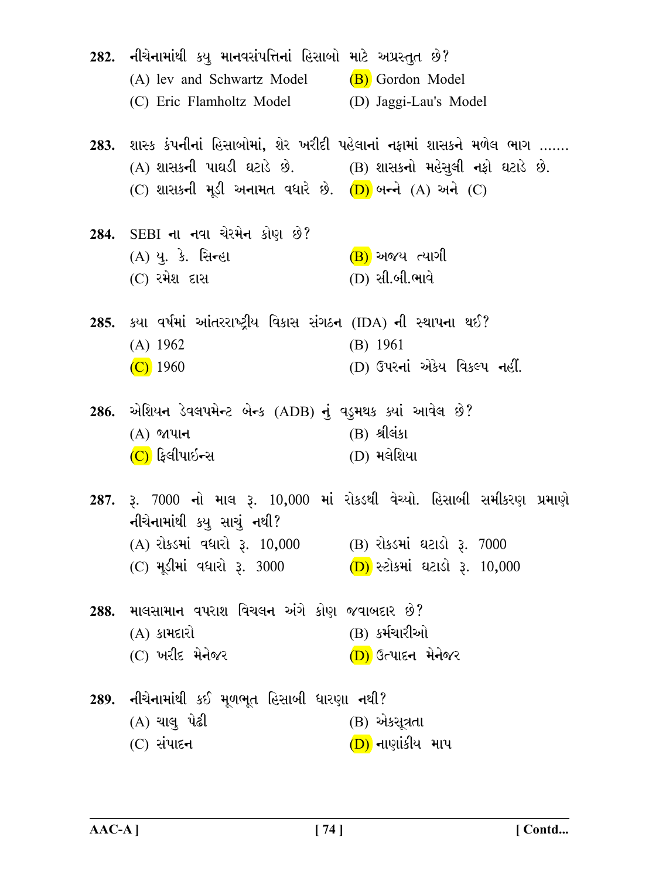| 282. નીચેનામાંથી કયુ માનવસંપત્તિનાં હિસાબો માટે અપ્રસ્તુત છે?<br>(A) lev and Schwartz Model (B) Gordon Model<br>(C) Eric Flamholtz Model (D) Jaggi-Lau's Model |                                                                                                                                           |
|----------------------------------------------------------------------------------------------------------------------------------------------------------------|-------------------------------------------------------------------------------------------------------------------------------------------|
| (A) શાસકની પાઘડી ઘટાડે છે.      (B) શાસકનો મહેસુલી નફો ઘટાડે છે.<br>(C) શાસકની મૂડી અનામત વધારે છે. (D) બન્ને (A) અને (C)                                      | 283. શાસ્ક કંપનીનાં હિસાબોમાં, શેર ખરીદી પહેલાનાં નફામાં શાસકને મળેલ ભાગ …….                                                              |
| 284. SEBI ના નવા ચેરમેન કોણ છે?<br>(A) યુ. કે. સિ <del>ન્</del> હા<br>(C) રમેશ દાસ                                                                             | (B) અજય ત્યાગી<br>(D) સી.બી.ભાવે                                                                                                          |
| 285. કયા વર્ષમાં આંતરરાષ્ટ્રીય વિકાસ સંગઠન (IDA) ની સ્થાપના થઈ?<br>(A) 1962<br>$(C)$ 1960                                                                      | $(B)$ 1961<br>(D) ઉપરનાં એકેય વિકલ્પ નહીં.                                                                                                |
| 286. એશિયન ડેવલપમેન્ટ બેન્ક (ADB) નું વડુમથક ક્યાં આવેલ છે?<br>$(A)$ જાપાન<br>(C) ફિલીપાઇન્સ                                                                   | $(B)$ શ્રીલંકા<br>$(D)$ મલેશિયા                                                                                                           |
| નીચેનામાંથી કયુ સાચું નથી?<br>(A) રોકડમાં વધારો રૂ. 10,000<br>(C) મૂડીમાં વધારો રૂ. 3000                                                                       | 287. રૂ. 7000 નો માલ રૂ. 10,000 માં રોકડથી વેચ્યો. હિસાબી સમીકરણ પ્રમાણે<br>(B) રોકડમાં ઘટાડો રૂ. 7000<br>$(D)$ સ્ટોકમાં ઘટાડો રૂ. 10,000 |
| 288. માલસામાન વપરાશ વિચલન અંગે કોણ જવાબદાર છે?<br>$(A)$ કામદારો<br>(C) ખરીદ મેનેજર                                                                             | (B) કર્મચારીઓ<br>(D) ઉત્પાદન મેનેજર                                                                                                       |
| 289. નીચેનામાંથી કઈ મૂળભૂત હિસાબી ધારણા નથી?<br>(A) ચાલુ પેઢી<br>$(C)$ સંપાદન                                                                                  | (B) એકસૂત્રતા<br><u>(D)</u> નાણાંકીય માપ                                                                                                  |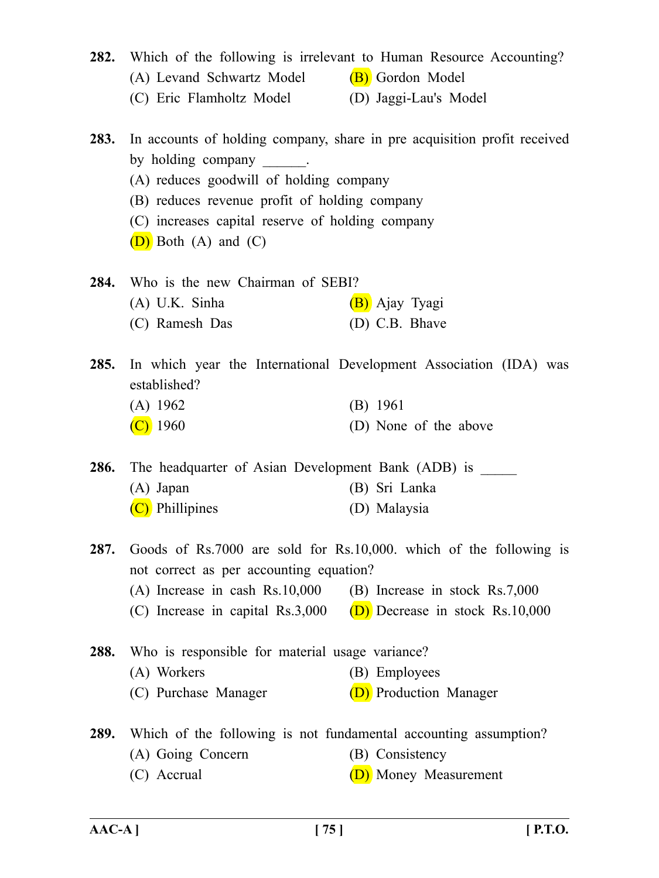| 282.        | Which of the following is irrelevant to Human Resource Accounting?                                                                                                                                                   |                                                                          |  |
|-------------|----------------------------------------------------------------------------------------------------------------------------------------------------------------------------------------------------------------------|--------------------------------------------------------------------------|--|
|             | (A) Levand Schwartz Model                                                                                                                                                                                            | (B) Gordon Model                                                         |  |
|             | (C) Eric Flamholtz Model (D) Jaggi-Lau's Model                                                                                                                                                                       |                                                                          |  |
| <b>283.</b> | by holding company<br>$\mathcal{L} = \mathcal{L} \times \mathcal{L}$<br>(A) reduces goodwill of holding company<br>(B) reduces revenue profit of holding company<br>(C) increases capital reserve of holding company | In accounts of holding company, share in pre acquisition profit received |  |
|             | $(D)$ Both $(A)$ and $(C)$                                                                                                                                                                                           |                                                                          |  |
|             | 284. Who is the new Chairman of SEBI?                                                                                                                                                                                |                                                                          |  |
|             | $(A)$ U.K. Sinha                                                                                                                                                                                                     | (B) Ajay Tyagi                                                           |  |
|             | (C) Ramesh Das                                                                                                                                                                                                       | (D) C.B. Bhave                                                           |  |
| <b>285.</b> | established?                                                                                                                                                                                                         | In which year the International Development Association (IDA) was        |  |
|             | $(A)$ 1962                                                                                                                                                                                                           | (B) 1961                                                                 |  |
|             | $(C)$ 1960                                                                                                                                                                                                           | (D) None of the above                                                    |  |
| <b>286.</b> | The headquarter of Asian Development Bank (ADB) is                                                                                                                                                                   |                                                                          |  |
|             | $(A)$ Japan                                                                                                                                                                                                          | (B) Sri Lanka                                                            |  |
|             | (C) Phillipines                                                                                                                                                                                                      | (D) Malaysia                                                             |  |
| 287.        | not correct as per accounting equation?                                                                                                                                                                              | Goods of Rs.7000 are sold for Rs.10,000. which of the following is       |  |
|             | $(A)$ Increase in cash Rs.10,000                                                                                                                                                                                     | (B) Increase in stock Rs.7,000                                           |  |
|             |                                                                                                                                                                                                                      | (C) Increase in capital Rs.3,000 (D) Decrease in stock Rs.10,000         |  |
| 288.        | Who is responsible for material usage variance?                                                                                                                                                                      |                                                                          |  |
|             | (A) Workers                                                                                                                                                                                                          | (B) Employees                                                            |  |
|             | (C) Purchase Manager                                                                                                                                                                                                 | (D) Production Manager                                                   |  |
|             |                                                                                                                                                                                                                      |                                                                          |  |

**289.** Which of the following is not fundamental accounting assumption?

- (A) Going Concern (B) Consistency
- (C) Accrual (D) Money Measurement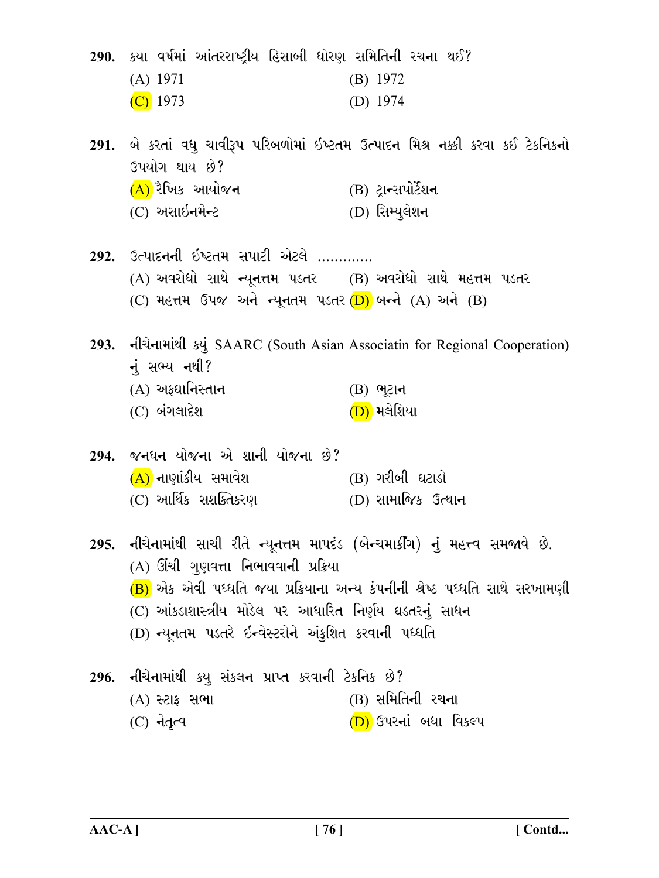290. કયા વર્ષમાં આંતરરાષ્ટ્રીય હિસાબી ધોરણ સમિતિની રચના થઈ?

| $(A)$ 1971 | $(B)$ 1972 |
|------------|------------|
| $(C)$ 1973 | (D) $1974$ |

291. બે કરતાં વધુ ચાવીરૂપ પરિબળોમાં ઇષ્ટતમ ઉત્પાદન મિશ્ર નક્કી કરવા કઈ ટેકનિકનો ઉપયોગ થાય છે? (A) રૈખિક આયોજન (B) ટાન્સપોર્ટેશન (C) અસાઇનમેન્ટ (D) સિમ્યુલેશન

292. ઉત્પાદનની ઇષ્ટતમ સપાટી એટલે ............. (A) અવરોધો સાથે ન્યૂનત્તમ પડતર (B) અવરોધો સાથે મહત્તમ પડતર (C) મહત્તમ ઉપજ અને ન્યુનતમ પડતર (D) બન્ને (A) અને (B)

293. નીચેનામાંથી કયું SAARC (South Asian Associatin for Regional Cooperation) નં સભ્ય નથી?  $(A)$  અફઘાનિસ્તાન  $(B)$  ભૂટાન

 $(C)$  બંગલાદેશ (<mark>D)</mark> મલેશિયા

| 294. જનધન યોજના એ શાની યોજના છે? |                      |
|----------------------------------|----------------------|
| (A) નાણાંકીય સમાવેશ              | (B) ગરીબી ઘટાડો      |
| (C) આર્થિક સશક્તિકરણ             | $(D)$ સામાજિક ઉત્થાન |

295. નીચેનામાંથી સાચી રીતે ન્યૂનત્તમ માપદંડ (બેન્ચમાર્કીંગ) નું મહત્ત્વ સમજાવે છે. (A) ઊંચી ગુણવત્તા નિભાવવાની પ્રક્રિયા (B) એક એવી પધ્ધતિ જયા પ્રક્રિયાના અન્ય કંપનીની શ્રેષ્ઠ પધ્ધતિ સાથે સરખામણી (C) આંકડાશાસ્ત્રીય મોડેલ પર આધારિત નિર્ણય ઘડતરનું સાધન (D) ન્યૂનતમ પડતરે ઇન્વેસ્ટરોને અંકુશિત કરવાની પધ્ધતિ

#### 296. નીચેનામાંથી કયુ સંકલન પ્રાપ્ત કરવાની ટેકનિક છે? (A) સ્ટાફ સભા (B) સમિતિની રચના  $(C)$  नेतृत्व (D) ઉપરનાં બધા વિકલ્પ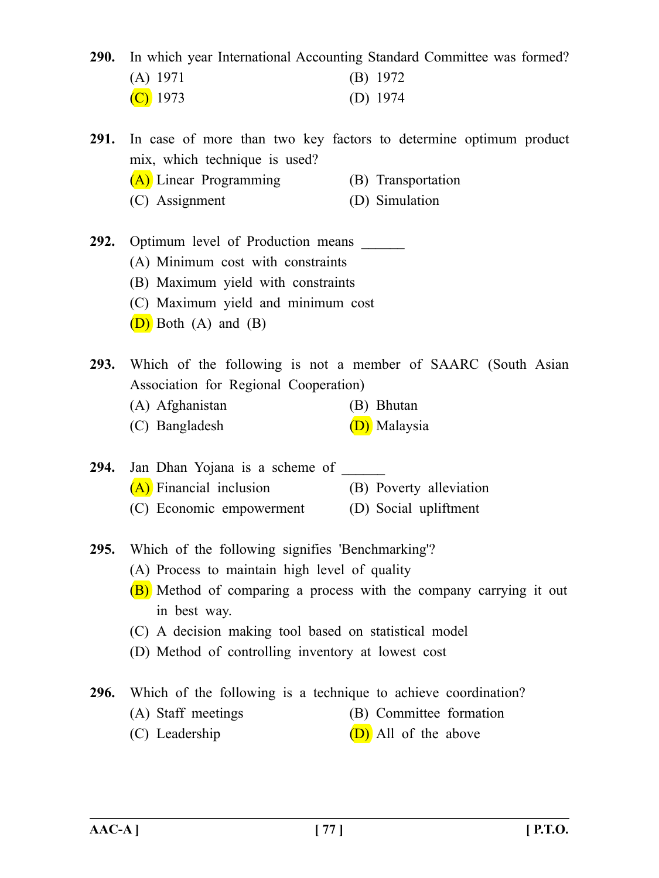**290.** In which year International Accounting Standard Committee was formed?

| $(A)$ 1971 | $(B)$ 1972 |
|------------|------------|
| $(C)$ 1973 | (D) $1974$ |

**291.** In case of more than two key factors to determine optimum product mix, which technique is used?

- (A) Linear Programming (B) Transportation
- (C) Assignment (D) Simulation
- **292.** Optimum level of Production means
	- (A) Minimum cost with constraints
	- (B) Maximum yield with constraints
	- (C) Maximum yield and minimum cost
	- (D) Both (A) and (B)

**293.** Which of the following is not a member of SAARC (South Asian Association for Regional Cooperation)

- (A) Afghanistan (B) Bhutan
- (C) Bangladesh (D) Malaysia
- 294. Jan Dhan Yojana is a scheme of (A) Financial inclusion (B) Poverty alleviation (C) Economic empowerment (D) Social upliftment
- **295.** Which of the following signifies 'Benchmarking'?
	- (A) Process to maintain high level of quality
	- (B) Method of comparing a process with the company carrying it out in best way.
	- (C) A decision making tool based on statistical model
	- (D) Method of controlling inventory at lowest cost

**296.** Which of the following is a technique to achieve coordination?

- (A) Staff meetings (B) Committee formation
- (C) Leadership  $(D)$  All of the above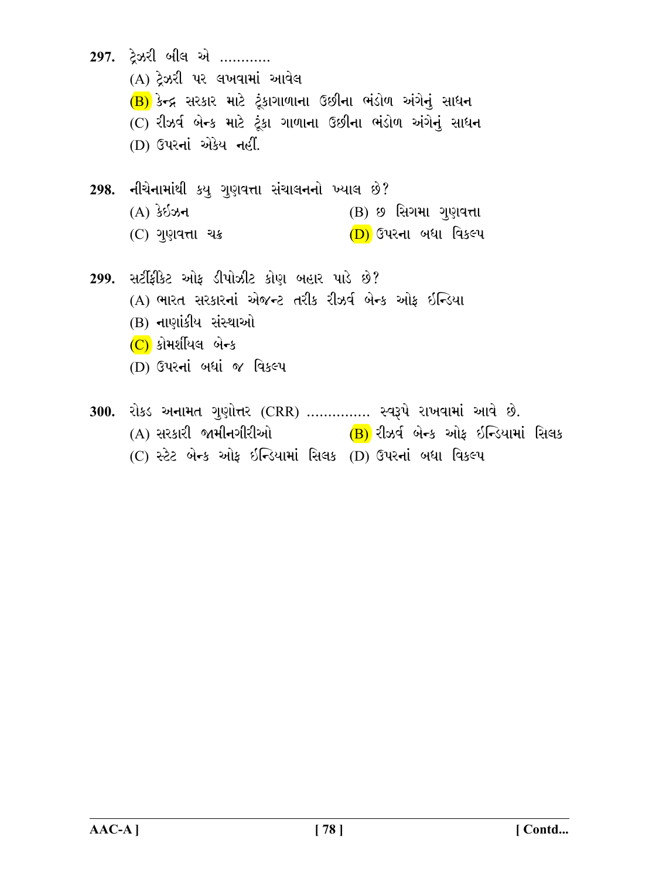297. ટેઝરી બીલ એ ............ (A) ટેઝરી પર લખવામાં આવેલ (B) કેન્દ્ર સરકાર માટે ટુંકાગાળાના ઉછીના ભંડોળ અંગેનું સાધન (C) રીઝર્વ બેન્ક માટે ટૂંકા ગાળાના ઉછીના ભંડોળ અંગેનું સાધન (D) ઉપરનાં એકેય નહીં. 298. નીચેનામાંથી કયૂ ગુણવત્તા સંચાલનનો ખ્યાલ છે?  $(A)$  કેઇઝન (B) છ સિગમા ગુણવત્તા (C) ગુણવત્તા ચક્ર (D) ઉપરના બધા વિકલ્પ 299. સર્ટીકીકેટ ઓક ડીપોઝીટ કોણ બહાર પાડે છે? (A) ભારત સરકારનાં એજન્ટ તરીક રીઝર્વ બેન્ક ઓક ઇન્ડિયા (B) નાણાંકીય સંસ્થાઓ  $(C)$  કોમર્શીયલ બેન્ક (D) ઉપરનાં બધાં જ વિકલ્પ 300. રોકડ અનામત ગુણોત્તર (CRR) ............... સ્વરૂપે રાખવામાં આવે છે. (A) સરકારી જામીનગીરીઓ (B) રીઝર્વ બેન્ક ઓફ ઇન્ડિયામાં સિલક

(C) સ્ટેટ બેન્ક ઓફ ઇન્ડિયામાં સિલક (D) ઉપરનાં બધા વિકલ્પ